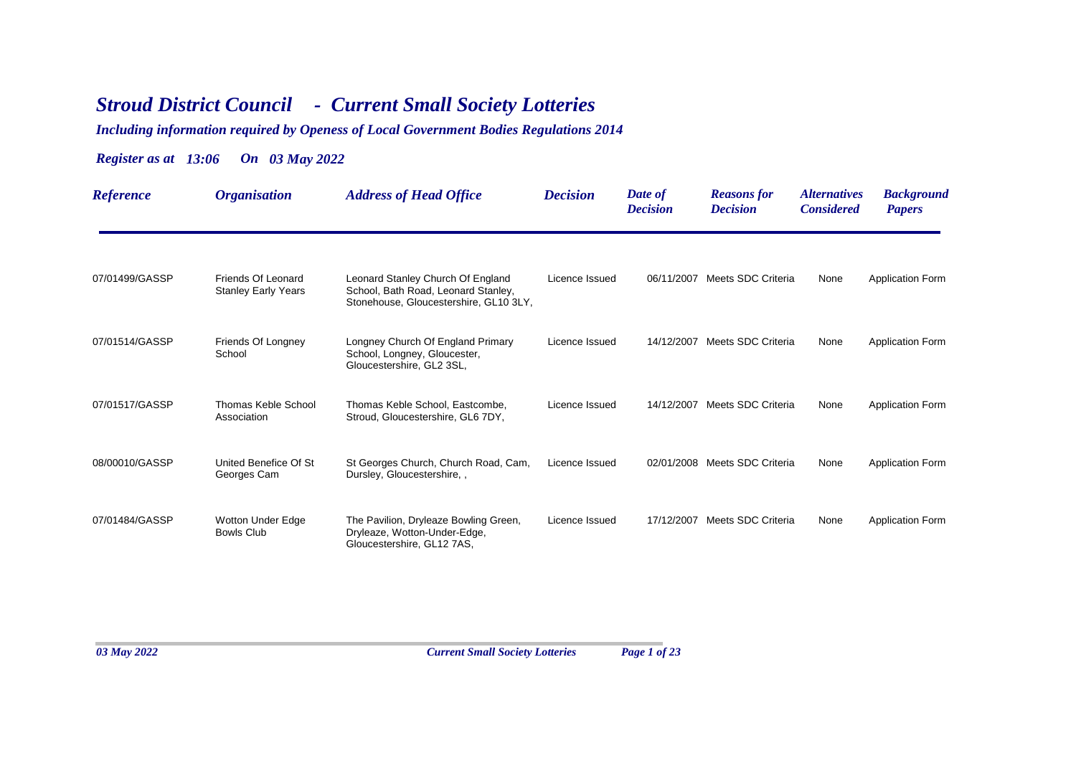## *Stroud District Council - Current Small Society Lotteries*

## *Including information required by Openess of Local Government Bodies Regulations 2014*

## *Register as at 13:06 On 03 May 2022*

| <b>Reference</b> | <i><b>Organisation</b></i>                       | <b>Address of Head Office</b>                                                                                      | <b>Decision</b> | Date of<br><b>Decision</b> | <b>Reasons for</b><br><b>Decision</b> | <i><b>Alternatives</b></i><br><b>Considered</b> | <b>Background</b><br><b>Papers</b> |
|------------------|--------------------------------------------------|--------------------------------------------------------------------------------------------------------------------|-----------------|----------------------------|---------------------------------------|-------------------------------------------------|------------------------------------|
| 07/01499/GASSP   | Friends Of Leonard<br><b>Stanley Early Years</b> | Leonard Stanley Church Of England<br>School, Bath Road, Leonard Stanley,<br>Stonehouse, Gloucestershire, GL10 3LY, | Licence Issued  |                            | 06/11/2007 Meets SDC Criteria         | None                                            | <b>Application Form</b>            |
| 07/01514/GASSP   | Friends Of Longney<br>School                     | Longney Church Of England Primary<br>School, Longney, Gloucester,<br>Gloucestershire, GL2 3SL,                     | Licence Issued  | 14/12/2007                 | Meets SDC Criteria                    | None                                            | <b>Application Form</b>            |
| 07/01517/GASSP   | Thomas Keble School<br>Association               | Thomas Keble School, Eastcombe,<br>Stroud, Gloucestershire, GL6 7DY,                                               | Licence Issued  | 14/12/2007                 | Meets SDC Criteria                    | None                                            | <b>Application Form</b>            |
| 08/00010/GASSP   | United Benefice Of St<br>Georges Cam             | St Georges Church, Church Road, Cam,<br>Dursley, Gloucestershire, .                                                | Licence Issued  |                            | 02/01/2008 Meets SDC Criteria         | None                                            | <b>Application Form</b>            |
| 07/01484/GASSP   | <b>Wotton Under Edge</b><br><b>Bowls Club</b>    | The Pavilion, Dryleaze Bowling Green,<br>Dryleaze, Wotton-Under-Edge,<br>Gloucestershire, GL12 7AS,                | Licence Issued  |                            | 17/12/2007 Meets SDC Criteria         | None                                            | <b>Application Form</b>            |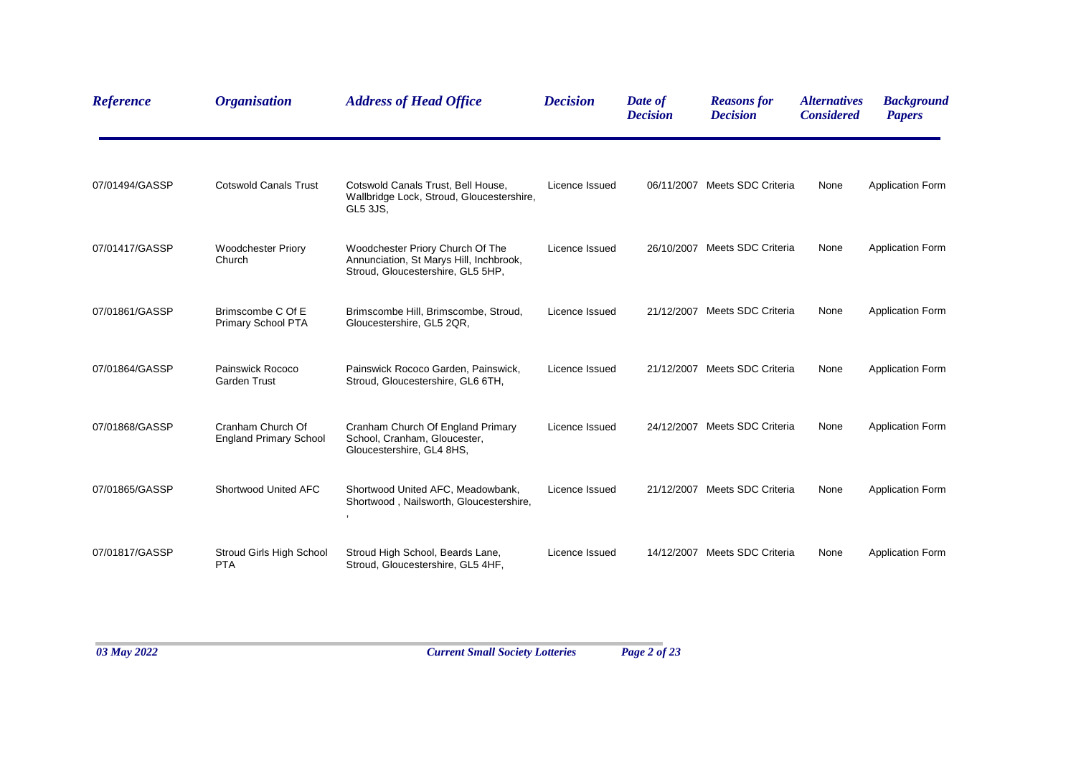| <b>Reference</b> | <b>Organisation</b>                                | <b>Address of Head Office</b>                                                                                    | <b>Decision</b> | Date of<br><b>Decision</b> | <b>Reasons for</b><br><b>Decision</b> | <i><b>Alternatives</b></i><br><b>Considered</b> | <b>Background</b><br><b>Papers</b> |
|------------------|----------------------------------------------------|------------------------------------------------------------------------------------------------------------------|-----------------|----------------------------|---------------------------------------|-------------------------------------------------|------------------------------------|
| 07/01494/GASSP   | <b>Cotswold Canals Trust</b>                       | Cotswold Canals Trust, Bell House,<br>Wallbridge Lock, Stroud, Gloucestershire,<br>GL5 3JS,                      | Licence Issued  |                            | 06/11/2007 Meets SDC Criteria         | None                                            | <b>Application Form</b>            |
| 07/01417/GASSP   | <b>Woodchester Priory</b><br>Church                | Woodchester Priory Church Of The<br>Annunciation, St Marys Hill, Inchbrook,<br>Stroud, Gloucestershire, GL5 5HP, | Licence Issued  |                            | 26/10/2007 Meets SDC Criteria         | None                                            | <b>Application Form</b>            |
| 07/01861/GASSP   | Brimscombe C Of E<br><b>Primary School PTA</b>     | Brimscombe Hill, Brimscombe, Stroud,<br>Gloucestershire, GL5 2QR,                                                | Licence Issued  |                            | 21/12/2007 Meets SDC Criteria         | None                                            | Application Form                   |
| 07/01864/GASSP   | Painswick Rococo<br><b>Garden Trust</b>            | Painswick Rococo Garden, Painswick,<br>Stroud, Gloucestershire, GL6 6TH,                                         | Licence Issued  |                            | 21/12/2007 Meets SDC Criteria         | None                                            | <b>Application Form</b>            |
| 07/01868/GASSP   | Cranham Church Of<br><b>England Primary School</b> | Cranham Church Of England Primary<br>School, Cranham, Gloucester,<br>Gloucestershire, GL4 8HS,                   | Licence Issued  |                            | 24/12/2007 Meets SDC Criteria         | None                                            | <b>Application Form</b>            |
| 07/01865/GASSP   | Shortwood United AFC                               | Shortwood United AFC, Meadowbank,<br>Shortwood, Nailsworth, Gloucestershire,                                     | Licence Issued  |                            | 21/12/2007 Meets SDC Criteria         | None                                            | <b>Application Form</b>            |
| 07/01817/GASSP   | Stroud Girls High School<br><b>PTA</b>             | Stroud High School, Beards Lane,<br>Stroud, Gloucestershire, GL5 4HF,                                            | Licence Issued  |                            | 14/12/2007 Meets SDC Criteria         | None                                            | <b>Application Form</b>            |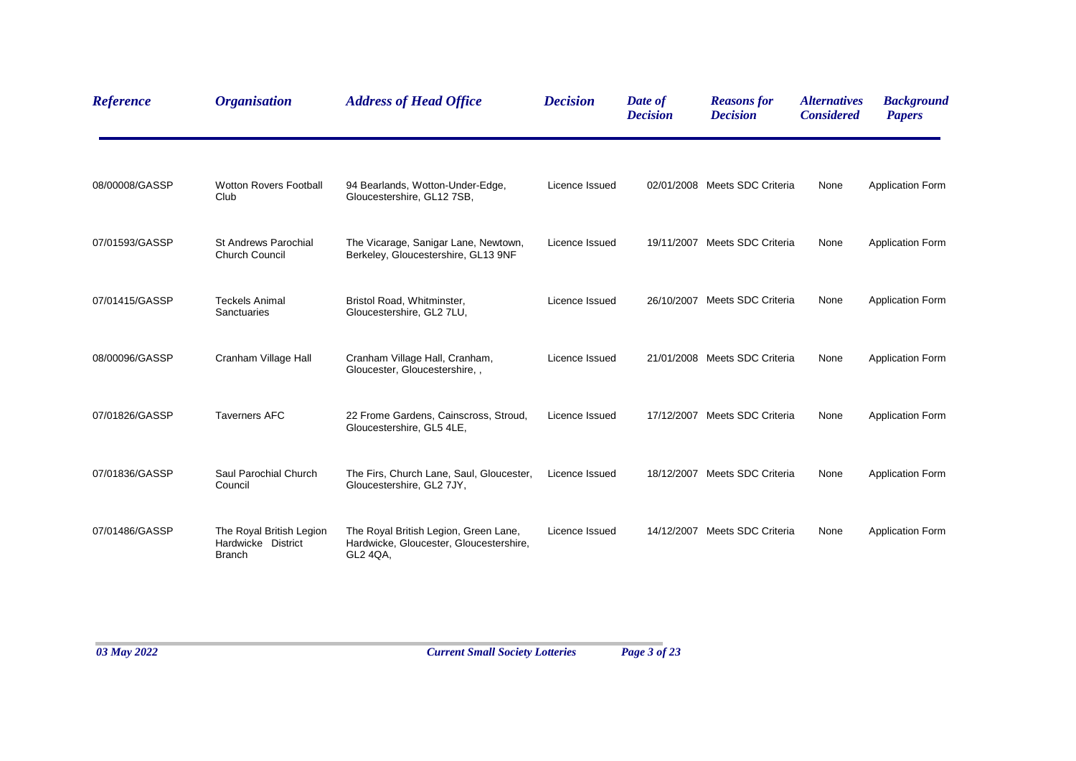| <b>Reference</b> | <b>Organisation</b>                                             | <b>Address of Head Office</b>                                                                | <b>Decision</b> | Date of<br><b>Decision</b> | <b>Reasons for</b><br><b>Decision</b> | <i><b>Alternatives</b></i><br><b>Considered</b> | <b>Background</b><br><b>Papers</b> |
|------------------|-----------------------------------------------------------------|----------------------------------------------------------------------------------------------|-----------------|----------------------------|---------------------------------------|-------------------------------------------------|------------------------------------|
| 08/00008/GASSP   | <b>Wotton Rovers Football</b><br>Club                           | 94 Bearlands, Wotton-Under-Edge,<br>Gloucestershire, GL12 7SB,                               | Licence Issued  |                            | 02/01/2008 Meets SDC Criteria         | None                                            | <b>Application Form</b>            |
| 07/01593/GASSP   | <b>St Andrews Parochial</b><br><b>Church Council</b>            | The Vicarage, Sanigar Lane, Newtown,<br>Berkeley, Gloucestershire, GL13 9NF                  | Licence Issued  |                            | 19/11/2007 Meets SDC Criteria         | None                                            | <b>Application Form</b>            |
| 07/01415/GASSP   | <b>Teckels Animal</b><br>Sanctuaries                            | Bristol Road, Whitminster,<br>Gloucestershire, GL2 7LU,                                      | Licence Issued  |                            | 26/10/2007 Meets SDC Criteria         | None                                            | <b>Application Form</b>            |
| 08/00096/GASSP   | Cranham Village Hall                                            | Cranham Village Hall, Cranham,<br>Gloucester, Gloucestershire, ,                             | Licence Issued  |                            | 21/01/2008 Meets SDC Criteria         | None                                            | <b>Application Form</b>            |
| 07/01826/GASSP   | <b>Taverners AFC</b>                                            | 22 Frome Gardens, Cainscross, Stroud,<br>Gloucestershire, GL5 4LE,                           | Licence Issued  |                            | 17/12/2007 Meets SDC Criteria         | None                                            | <b>Application Form</b>            |
| 07/01836/GASSP   | Saul Parochial Church<br>Council                                | The Firs, Church Lane, Saul, Gloucester,<br>Gloucestershire, GL2 7JY,                        | Licence Issued  |                            | 18/12/2007 Meets SDC Criteria         | None                                            | <b>Application Form</b>            |
| 07/01486/GASSP   | The Royal British Legion<br>Hardwicke District<br><b>Branch</b> | The Royal British Legion, Green Lane,<br>Hardwicke, Gloucester, Gloucestershire,<br>GL2 4QA, | Licence Issued  |                            | 14/12/2007 Meets SDC Criteria         | None                                            | <b>Application Form</b>            |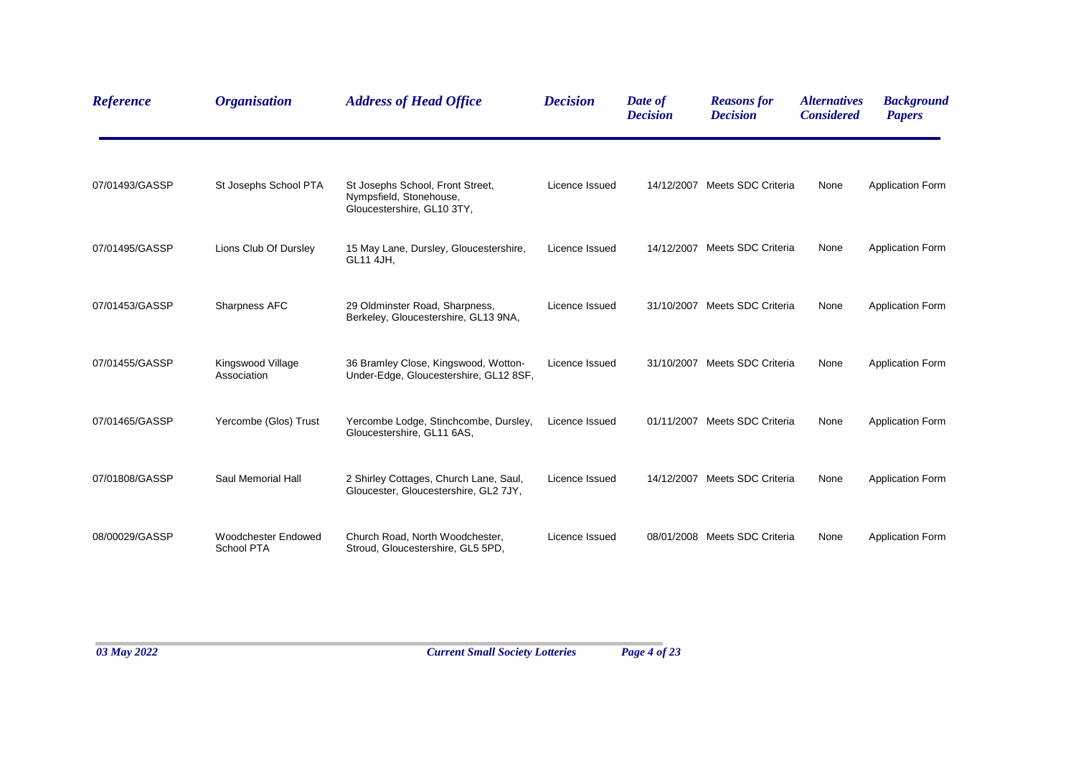| Reference      | <b>Organisation</b>                             | <b>Address of Head Office</b>                                                             | <b>Decision</b> | Date of<br><b>Decision</b> | <b>Reasons for</b><br><b>Decision</b> | <i><b>Alternatives</b></i><br><b>Considered</b> | <b>Background</b><br><b>Papers</b> |
|----------------|-------------------------------------------------|-------------------------------------------------------------------------------------------|-----------------|----------------------------|---------------------------------------|-------------------------------------------------|------------------------------------|
| 07/01493/GASSP | St Josephs School PTA                           | St Josephs School, Front Street,<br>Nympsfield, Stonehouse,<br>Gloucestershire, GL10 3TY, | Licence Issued  |                            | 14/12/2007 Meets SDC Criteria         | None                                            | <b>Application Form</b>            |
| 07/01495/GASSP | Lions Club Of Dursley                           | 15 May Lane, Dursley, Gloucestershire,<br>GL11 4JH,                                       | Licence Issued  |                            | 14/12/2007 Meets SDC Criteria         | None                                            | <b>Application Form</b>            |
| 07/01453/GASSP | Sharpness AFC                                   | 29 Oldminster Road, Sharpness,<br>Berkeley, Gloucestershire, GL13 9NA,                    | Licence Issued  |                            | 31/10/2007 Meets SDC Criteria         | None                                            | <b>Application Form</b>            |
| 07/01455/GASSP | Kingswood Village<br>Association                | 36 Bramley Close, Kingswood, Wotton-<br>Under-Edge, Gloucestershire, GL12 8SF,            | Licence Issued  |                            | 31/10/2007 Meets SDC Criteria         | None                                            | <b>Application Form</b>            |
| 07/01465/GASSP | Yercombe (Glos) Trust                           | Yercombe Lodge, Stinchcombe, Dursley,<br>Gloucestershire, GL11 6AS,                       | Licence Issued  |                            | 01/11/2007 Meets SDC Criteria         | None                                            | <b>Application Form</b>            |
| 07/01808/GASSP | Saul Memorial Hall                              | 2 Shirley Cottages, Church Lane, Saul,<br>Gloucester, Gloucestershire, GL2 7JY,           | Licence Issued  |                            | 14/12/2007 Meets SDC Criteria         | None                                            | <b>Application Form</b>            |
| 08/00029/GASSP | <b>Woodchester Endowed</b><br><b>School PTA</b> | Church Road, North Woodchester,<br>Stroud, Gloucestershire, GL5 5PD,                      | Licence Issued  |                            | 08/01/2008 Meets SDC Criteria         | None                                            | <b>Application Form</b>            |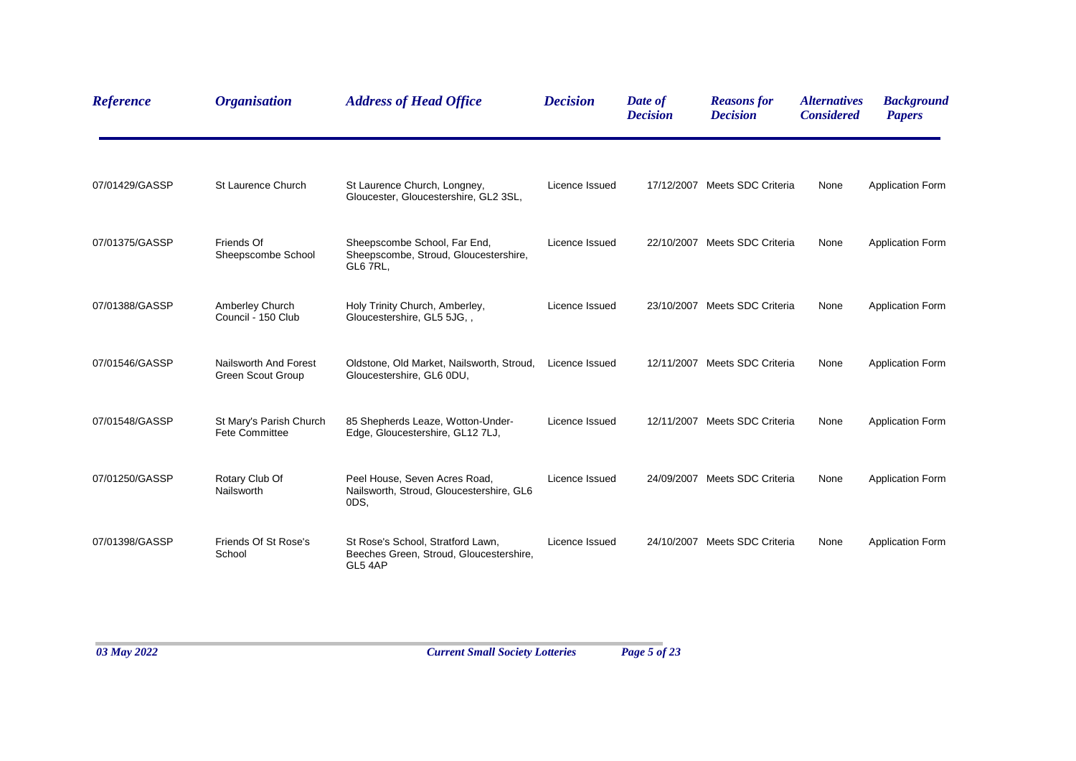| <b>Reference</b> | <b>Organisation</b>                               | <b>Address of Head Office</b>                                                           | <b>Decision</b> | Date of<br><b>Decision</b> | <b>Reasons for</b><br><b>Decision</b> | <i><b>Alternatives</b></i><br><b>Considered</b> | <b>Background</b><br><b>Papers</b> |
|------------------|---------------------------------------------------|-----------------------------------------------------------------------------------------|-----------------|----------------------------|---------------------------------------|-------------------------------------------------|------------------------------------|
| 07/01429/GASSP   | St Laurence Church                                | St Laurence Church, Longney,<br>Gloucester, Gloucestershire, GL2 3SL,                   | Licence Issued  |                            | 17/12/2007 Meets SDC Criteria         | None                                            | <b>Application Form</b>            |
| 07/01375/GASSP   | Friends Of<br>Sheepscombe School                  | Sheepscombe School, Far End,<br>Sheepscombe, Stroud, Gloucestershire,<br>GL6 7RL,       | Licence Issued  |                            | 22/10/2007 Meets SDC Criteria         | None                                            | <b>Application Form</b>            |
| 07/01388/GASSP   | Amberley Church<br>Council - 150 Club             | Holy Trinity Church, Amberley,<br>Gloucestershire, GL5 5JG,,                            | Licence Issued  |                            | 23/10/2007 Meets SDC Criteria         | None                                            | <b>Application Form</b>            |
| 07/01546/GASSP   | Nailsworth And Forest<br><b>Green Scout Group</b> | Oldstone, Old Market, Nailsworth, Stroud,<br>Gloucestershire, GL6 0DU,                  | Licence Issued  |                            | 12/11/2007 Meets SDC Criteria         | None                                            | <b>Application Form</b>            |
| 07/01548/GASSP   | St Mary's Parish Church<br><b>Fete Committee</b>  | 85 Shepherds Leaze, Wotton-Under-<br>Edge, Gloucestershire, GL12 7LJ,                   | Licence Issued  |                            | 12/11/2007 Meets SDC Criteria         | None                                            | <b>Application Form</b>            |
| 07/01250/GASSP   | Rotary Club Of<br>Nailsworth                      | Peel House, Seven Acres Road,<br>Nailsworth, Stroud, Gloucestershire, GL6<br>ODS,       | Licence Issued  |                            | 24/09/2007 Meets SDC Criteria         | None                                            | <b>Application Form</b>            |
| 07/01398/GASSP   | Friends Of St Rose's<br>School                    | St Rose's School, Stratford Lawn,<br>Beeches Green, Stroud, Gloucestershire,<br>GL5 4AP | Licence Issued  |                            | 24/10/2007 Meets SDC Criteria         | None                                            | <b>Application Form</b>            |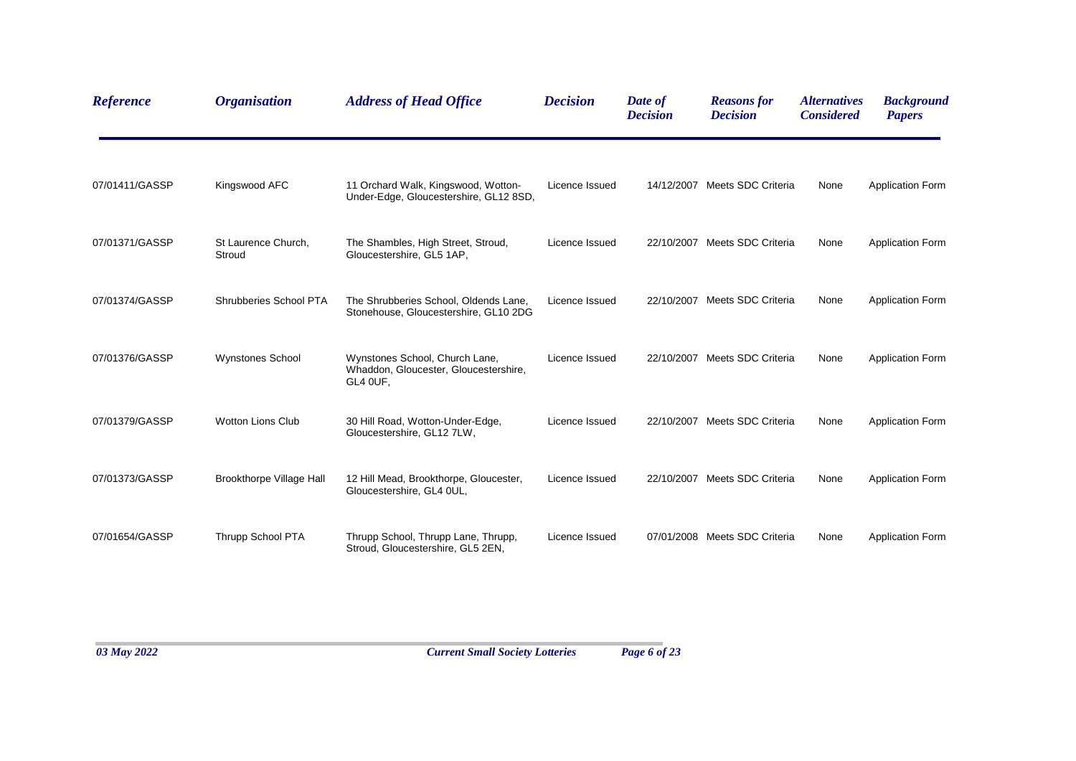| <b>Reference</b> | <b>Organisation</b>             | <b>Address of Head Office</b>                                                       | <b>Decision</b> | Date of<br><b>Decision</b> | <b>Reasons for</b><br><b>Decision</b> | <b>Alternatives</b><br><b>Considered</b> | <b>Background</b><br><b>Papers</b> |
|------------------|---------------------------------|-------------------------------------------------------------------------------------|-----------------|----------------------------|---------------------------------------|------------------------------------------|------------------------------------|
| 07/01411/GASSP   | Kingswood AFC                   | 11 Orchard Walk, Kingswood, Wotton-<br>Under-Edge, Gloucestershire, GL12 8SD,       | Licence Issued  |                            | 14/12/2007 Meets SDC Criteria         | None                                     | <b>Application Form</b>            |
| 07/01371/GASSP   | St Laurence Church,<br>Stroud   | The Shambles, High Street, Stroud,<br>Gloucestershire, GL5 1AP,                     | Licence Issued  |                            | 22/10/2007 Meets SDC Criteria         | None                                     | <b>Application Form</b>            |
| 07/01374/GASSP   | Shrubberies School PTA          | The Shrubberies School, Oldends Lane,<br>Stonehouse, Gloucestershire, GL10 2DG      | Licence Issued  |                            | 22/10/2007 Meets SDC Criteria         | None                                     | <b>Application Form</b>            |
| 07/01376/GASSP   | <b>Wynstones School</b>         | Wynstones School, Church Lane,<br>Whaddon, Gloucester, Gloucestershire,<br>GL4 OUF, | Licence Issued  |                            | 22/10/2007 Meets SDC Criteria         | None                                     | <b>Application Form</b>            |
| 07/01379/GASSP   | <b>Wotton Lions Club</b>        | 30 Hill Road, Wotton-Under-Edge,<br>Gloucestershire, GL12 7LW,                      | Licence Issued  |                            | 22/10/2007 Meets SDC Criteria         | None                                     | <b>Application Form</b>            |
| 07/01373/GASSP   | <b>Brookthorpe Village Hall</b> | 12 Hill Mead, Brookthorpe, Gloucester,<br>Gloucestershire, GL4 0UL,                 | Licence Issued  |                            | 22/10/2007 Meets SDC Criteria         | None                                     | <b>Application Form</b>            |
| 07/01654/GASSP   | Thrupp School PTA               | Thrupp School, Thrupp Lane, Thrupp,<br>Stroud, Gloucestershire, GL5 2EN,            | Licence Issued  |                            | 07/01/2008 Meets SDC Criteria         | None                                     | <b>Application Form</b>            |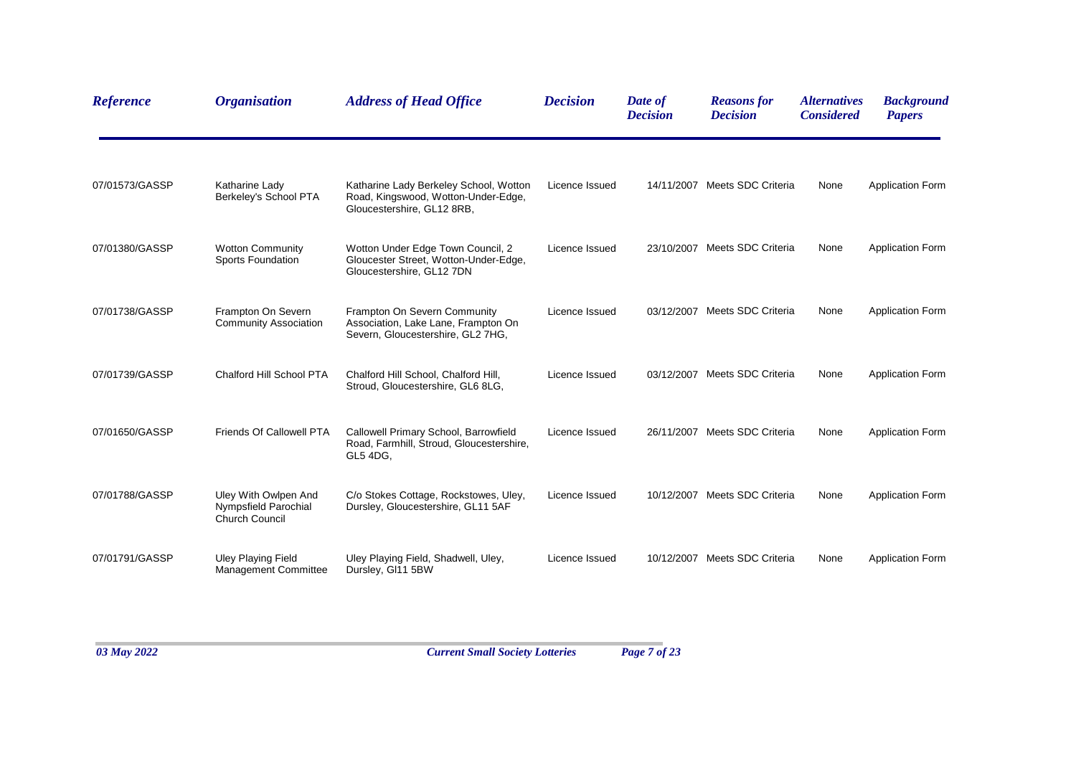| <b>Reference</b> | <b>Organisation</b>                                                   | <b>Address of Head Office</b>                                                                               | <b>Decision</b> | Date of<br><b>Decision</b> | <b>Reasons for</b><br><b>Decision</b> | <i><b>Alternatives</b></i><br><b>Considered</b> | <b>Background</b><br><b>Papers</b> |
|------------------|-----------------------------------------------------------------------|-------------------------------------------------------------------------------------------------------------|-----------------|----------------------------|---------------------------------------|-------------------------------------------------|------------------------------------|
| 07/01573/GASSP   | Katharine Lady<br>Berkeley's School PTA                               | Katharine Lady Berkeley School, Wotton<br>Road, Kingswood, Wotton-Under-Edge,<br>Gloucestershire, GL12 8RB, | Licence Issued  | 14/11/2007                 | Meets SDC Criteria                    | None                                            | <b>Application Form</b>            |
| 07/01380/GASSP   | <b>Wotton Community</b><br>Sports Foundation                          | Wotton Under Edge Town Council, 2<br>Gloucester Street, Wotton-Under-Edge,<br>Gloucestershire, GL12 7DN     | Licence Issued  |                            | 23/10/2007 Meets SDC Criteria         | None                                            | <b>Application Form</b>            |
| 07/01738/GASSP   | Frampton On Severn<br><b>Community Association</b>                    | Frampton On Severn Community<br>Association, Lake Lane, Frampton On<br>Severn, Gloucestershire, GL2 7HG,    | Licence Issued  | 03/12/2007                 | Meets SDC Criteria                    | None                                            | <b>Application Form</b>            |
| 07/01739/GASSP   | Chalford Hill School PTA                                              | Chalford Hill School, Chalford Hill,<br>Stroud, Gloucestershire, GL6 8LG,                                   | Licence Issued  | 03/12/2007                 | Meets SDC Criteria                    | None                                            | <b>Application Form</b>            |
| 07/01650/GASSP   | <b>Friends Of Callowell PTA</b>                                       | Callowell Primary School, Barrowfield<br>Road, Farmhill, Stroud, Gloucestershire,<br>GL5 4DG,               | Licence Issued  | 26/11/2007                 | Meets SDC Criteria                    | None                                            | <b>Application Form</b>            |
| 07/01788/GASSP   | Uley With Owlpen And<br>Nympsfield Parochial<br><b>Church Council</b> | C/o Stokes Cottage, Rockstowes, Uley,<br>Dursley, Gloucestershire, GL11 5AF                                 | Licence Issued  | 10/12/2007                 | Meets SDC Criteria                    | None                                            | <b>Application Form</b>            |
| 07/01791/GASSP   | <b>Uley Playing Field</b><br>Management Committee                     | Uley Playing Field, Shadwell, Uley,<br>Dursley, GI11 5BW                                                    | Licence Issued  | 10/12/2007                 | Meets SDC Criteria                    | None                                            | <b>Application Form</b>            |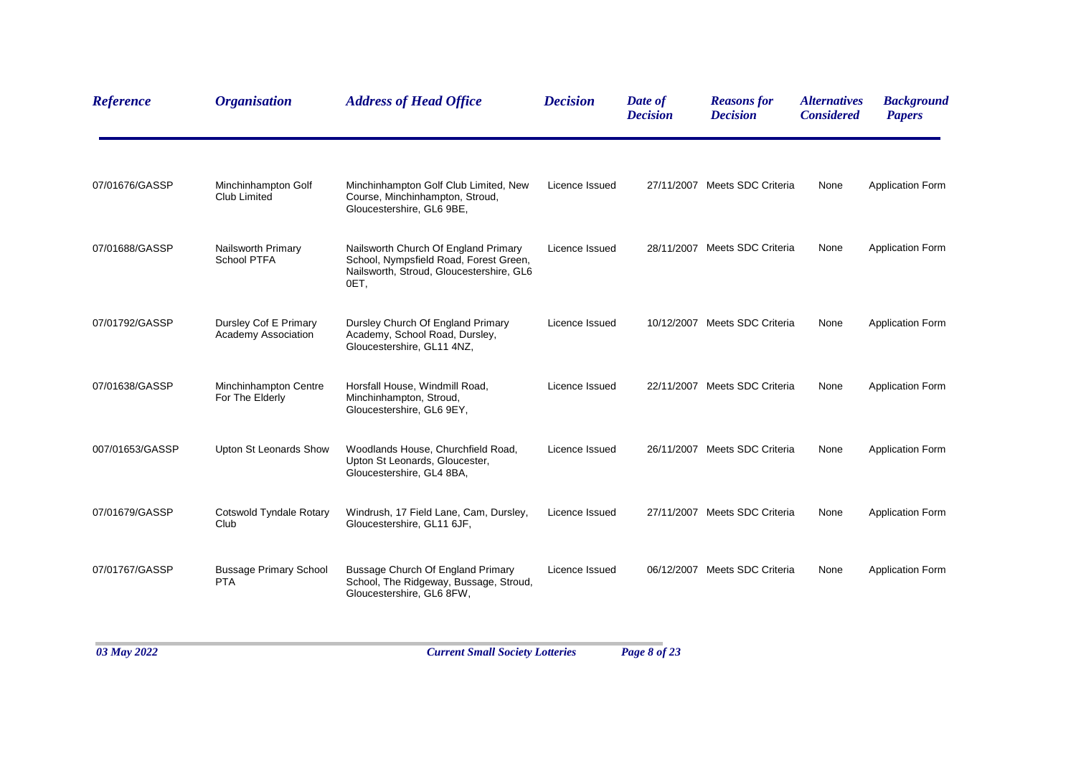| <b>Reference</b> | <b>Organisation</b>                          | <b>Address of Head Office</b>                                                                                                      | <b>Decision</b> | Date of<br><b>Decision</b> | <b>Reasons for</b><br><b>Decision</b> | <b>Alternatives</b><br><b>Considered</b> | <b>Background</b><br><b>Papers</b> |
|------------------|----------------------------------------------|------------------------------------------------------------------------------------------------------------------------------------|-----------------|----------------------------|---------------------------------------|------------------------------------------|------------------------------------|
| 07/01676/GASSP   | Minchinhampton Golf<br>Club Limited          | Minchinhampton Golf Club Limited, New<br>Course, Minchinhampton, Stroud,<br>Gloucestershire, GL6 9BE,                              | Licence Issued  |                            | 27/11/2007 Meets SDC Criteria         | None                                     | <b>Application Form</b>            |
| 07/01688/GASSP   | Nailsworth Primary<br>School PTFA            | Nailsworth Church Of England Primary<br>School, Nympsfield Road, Forest Green,<br>Nailsworth, Stroud, Gloucestershire, GL6<br>OET, | Licence Issued  |                            | 28/11/2007 Meets SDC Criteria         | None                                     | <b>Application Form</b>            |
| 07/01792/GASSP   | Dursley Cof E Primary<br>Academy Association | Dursley Church Of England Primary<br>Academy, School Road, Dursley,<br>Gloucestershire, GL11 4NZ,                                  | Licence Issued  |                            | 10/12/2007 Meets SDC Criteria         | None                                     | <b>Application Form</b>            |
| 07/01638/GASSP   | Minchinhampton Centre<br>For The Elderly     | Horsfall House, Windmill Road,<br>Minchinhampton, Stroud,<br>Gloucestershire, GL6 9EY,                                             | Licence Issued  |                            | 22/11/2007 Meets SDC Criteria         | None                                     | <b>Application Form</b>            |
| 007/01653/GASSP  | Upton St Leonards Show                       | Woodlands House, Churchfield Road,<br>Upton St Leonards, Gloucester,<br>Gloucestershire, GL4 8BA,                                  | Licence Issued  |                            | 26/11/2007 Meets SDC Criteria         | None                                     | <b>Application Form</b>            |
| 07/01679/GASSP   | Cotswold Tyndale Rotary<br>Club              | Windrush, 17 Field Lane, Cam, Dursley,<br>Gloucestershire, GL11 6JF,                                                               | Licence Issued  |                            | 27/11/2007 Meets SDC Criteria         | None                                     | <b>Application Form</b>            |
| 07/01767/GASSP   | <b>Bussage Primary School</b><br><b>PTA</b>  | Bussage Church Of England Primary<br>School, The Ridgeway, Bussage, Stroud,<br>Gloucestershire, GL6 8FW,                           | Licence Issued  |                            | 06/12/2007 Meets SDC Criteria         | None                                     | <b>Application Form</b>            |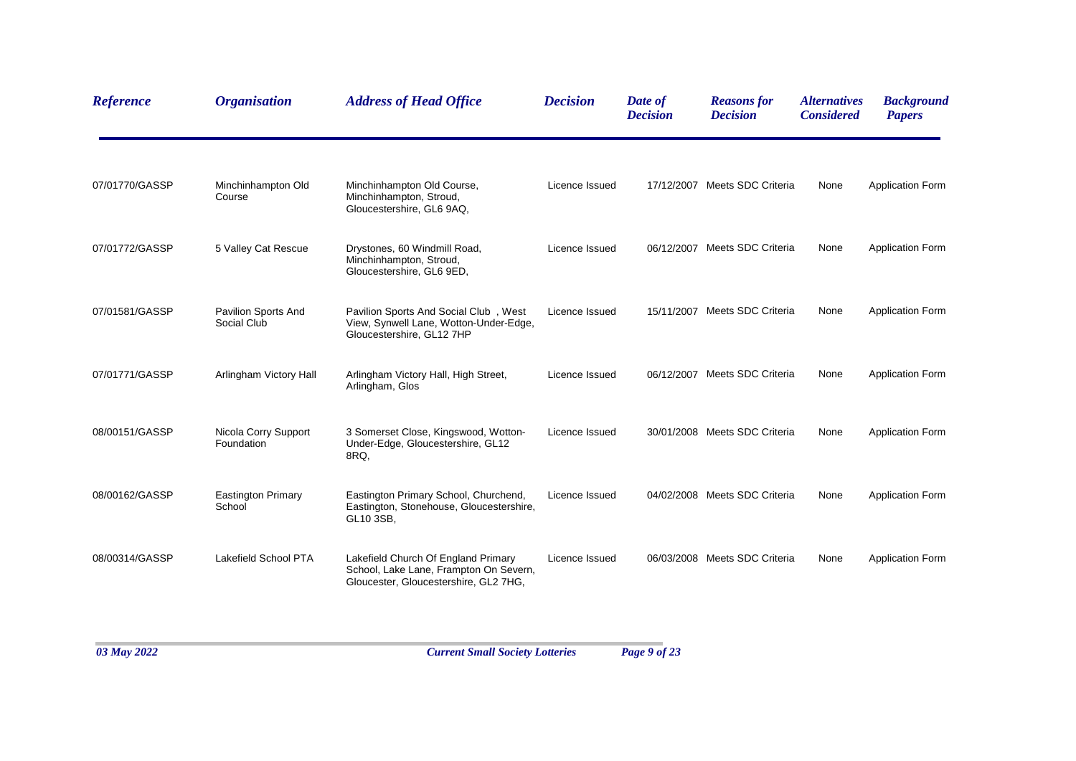| Reference      | <b>Organisation</b>                       | <b>Address of Head Office</b>                                                                                          | <b>Decision</b> | Date of<br><b>Decision</b> | <b>Reasons for</b><br><b>Decision</b> | <i><b>Alternatives</b></i><br><b>Considered</b> | <b>Background</b><br><b>Papers</b> |
|----------------|-------------------------------------------|------------------------------------------------------------------------------------------------------------------------|-----------------|----------------------------|---------------------------------------|-------------------------------------------------|------------------------------------|
| 07/01770/GASSP | Minchinhampton Old<br>Course              | Minchinhampton Old Course,<br>Minchinhampton, Stroud,<br>Gloucestershire, GL6 9AQ,                                     | Licence Issued  |                            | 17/12/2007 Meets SDC Criteria         | None                                            | <b>Application Form</b>            |
| 07/01772/GASSP | 5 Valley Cat Rescue                       | Drystones, 60 Windmill Road,<br>Minchinhampton, Stroud,<br>Gloucestershire, GL6 9ED,                                   | Licence Issued  |                            | 06/12/2007 Meets SDC Criteria         | None                                            | <b>Application Form</b>            |
| 07/01581/GASSP | <b>Pavilion Sports And</b><br>Social Club | Pavilion Sports And Social Club, West<br>View, Synwell Lane, Wotton-Under-Edge,<br>Gloucestershire, GL12 7HP           | Licence Issued  |                            | 15/11/2007 Meets SDC Criteria         | None                                            | <b>Application Form</b>            |
| 07/01771/GASSP | Arlingham Victory Hall                    | Arlingham Victory Hall, High Street,<br>Arlingham, Glos                                                                | Licence Issued  |                            | 06/12/2007 Meets SDC Criteria         | None                                            | <b>Application Form</b>            |
| 08/00151/GASSP | Nicola Corry Support<br>Foundation        | 3 Somerset Close, Kingswood, Wotton-<br>Under-Edge, Gloucestershire, GL12<br>8RQ.                                      | Licence Issued  |                            | 30/01/2008 Meets SDC Criteria         | None                                            | <b>Application Form</b>            |
| 08/00162/GASSP | <b>Eastington Primary</b><br>School       | Eastington Primary School, Churchend,<br>Eastington, Stonehouse, Gloucestershire,<br>GL10 3SB,                         | Licence Issued  |                            | 04/02/2008 Meets SDC Criteria         | None                                            | <b>Application Form</b>            |
| 08/00314/GASSP | Lakefield School PTA                      | Lakefield Church Of England Primary<br>School, Lake Lane, Frampton On Severn,<br>Gloucester, Gloucestershire, GL2 7HG, | Licence Issued  |                            | 06/03/2008 Meets SDC Criteria         | None                                            | <b>Application Form</b>            |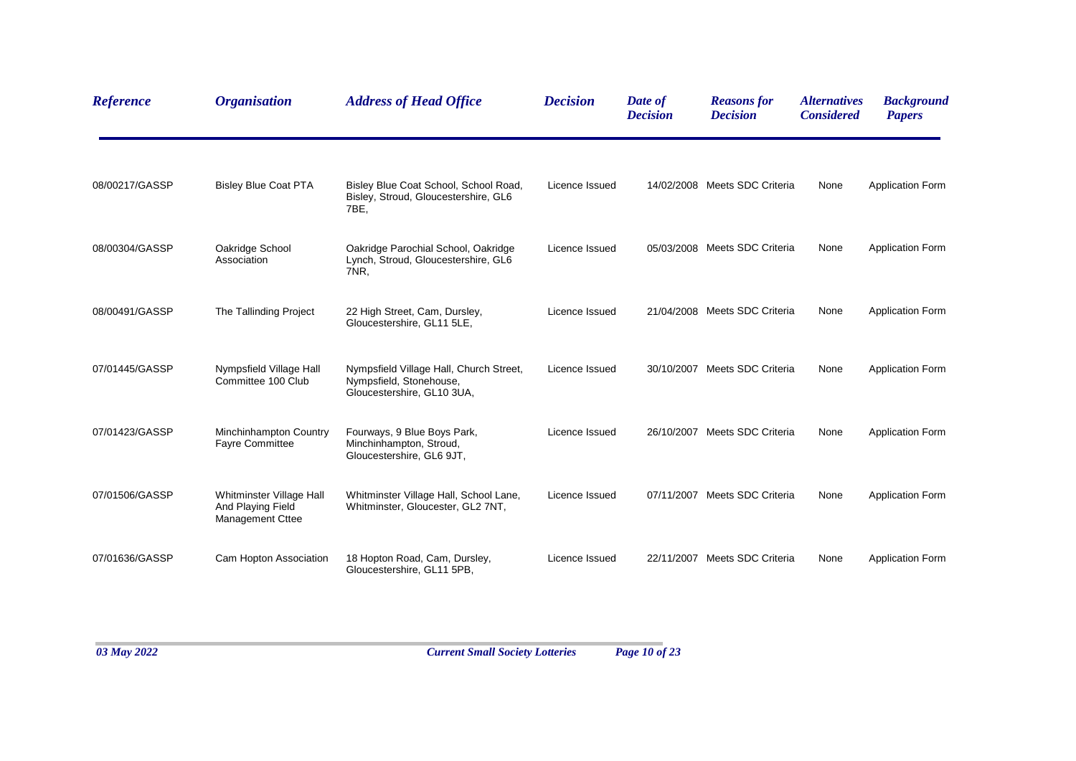| <b>Reference</b> | <b>Organisation</b>                                                      | <b>Address of Head Office</b>                                                                    | <b>Decision</b> | Date of<br><b>Decision</b> | <b>Reasons for</b><br><b>Decision</b> | <i><b>Alternatives</b></i><br><b>Considered</b> | <b>Background</b><br><b>Papers</b> |
|------------------|--------------------------------------------------------------------------|--------------------------------------------------------------------------------------------------|-----------------|----------------------------|---------------------------------------|-------------------------------------------------|------------------------------------|
| 08/00217/GASSP   | <b>Bisley Blue Coat PTA</b>                                              | Bisley Blue Coat School, School Road,<br>Bisley, Stroud, Gloucestershire, GL6<br>7BE,            | Licence Issued  |                            | 14/02/2008 Meets SDC Criteria         | None                                            | <b>Application Form</b>            |
| 08/00304/GASSP   | Oakridge School<br>Association                                           | Oakridge Parochial School, Oakridge<br>Lynch, Stroud, Gloucestershire, GL6<br>7NR,               | Licence Issued  |                            | 05/03/2008 Meets SDC Criteria         | None                                            | <b>Application Form</b>            |
| 08/00491/GASSP   | The Tallinding Project                                                   | 22 High Street, Cam, Dursley,<br>Gloucestershire, GL11 5LE,                                      | Licence Issued  |                            | 21/04/2008 Meets SDC Criteria         | None                                            | <b>Application Form</b>            |
| 07/01445/GASSP   | Nympsfield Village Hall<br>Committee 100 Club                            | Nympsfield Village Hall, Church Street,<br>Nympsfield, Stonehouse,<br>Gloucestershire, GL10 3UA, | Licence Issued  |                            | 30/10/2007 Meets SDC Criteria         | None                                            | <b>Application Form</b>            |
| 07/01423/GASSP   | Minchinhampton Country<br><b>Fayre Committee</b>                         | Fourways, 9 Blue Boys Park,<br>Minchinhampton, Stroud,<br>Gloucestershire, GL6 9JT,              | Licence Issued  |                            | 26/10/2007 Meets SDC Criteria         | None                                            | <b>Application Form</b>            |
| 07/01506/GASSP   | Whitminster Village Hall<br>And Playing Field<br><b>Management Cttee</b> | Whitminster Village Hall, School Lane,<br>Whitminster, Gloucester, GL2 7NT,                      | Licence Issued  |                            | 07/11/2007 Meets SDC Criteria         | None                                            | <b>Application Form</b>            |
| 07/01636/GASSP   | Cam Hopton Association                                                   | 18 Hopton Road, Cam, Dursley,<br>Gloucestershire, GL11 5PB,                                      | Licence Issued  |                            | 22/11/2007 Meets SDC Criteria         | None                                            | <b>Application Form</b>            |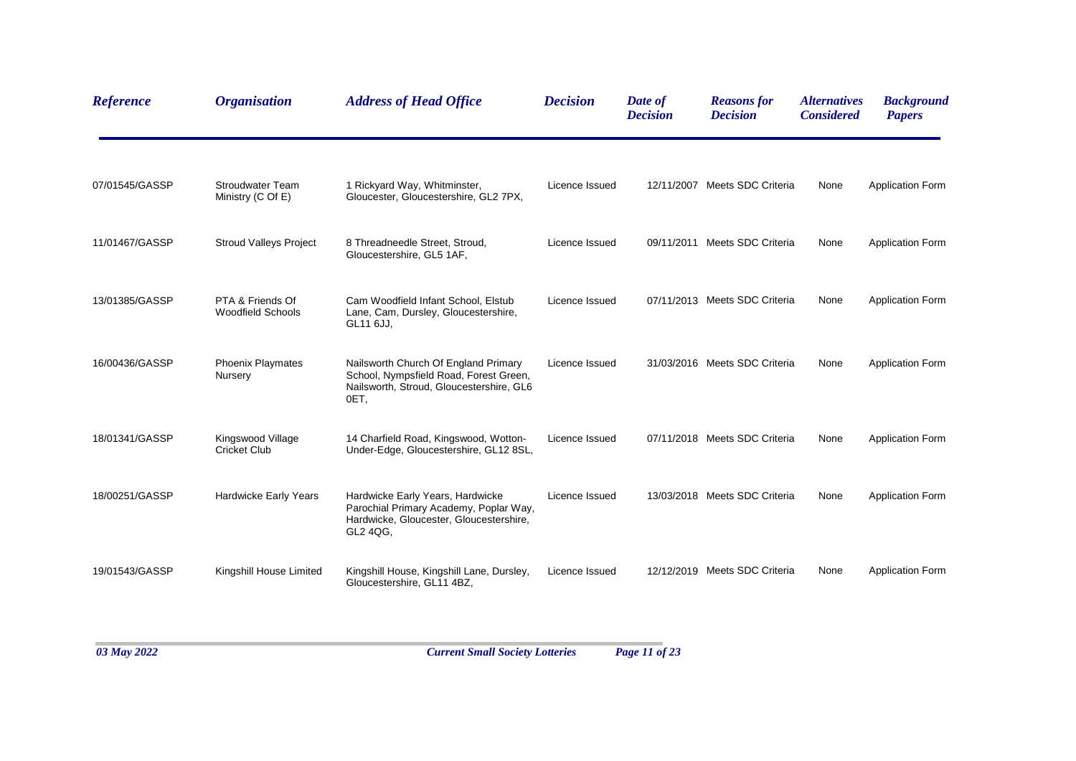| <b>Reference</b> | <b>Organisation</b>                          | <b>Address of Head Office</b>                                                                                                      | <b>Decision</b> | Date of<br><b>Decision</b> | <b>Reasons for</b><br><b>Decision</b> | <i><b>Alternatives</b></i><br><b>Considered</b> | <b>Background</b><br><b>Papers</b> |
|------------------|----------------------------------------------|------------------------------------------------------------------------------------------------------------------------------------|-----------------|----------------------------|---------------------------------------|-------------------------------------------------|------------------------------------|
| 07/01545/GASSP   | <b>Stroudwater Team</b><br>Ministry (C Of E) | 1 Rickyard Way, Whitminster,<br>Gloucester, Gloucestershire, GL2 7PX,                                                              | Licence Issued  |                            | 12/11/2007 Meets SDC Criteria         | None                                            | <b>Application Form</b>            |
| 11/01467/GASSP   | <b>Stroud Valleys Project</b>                | 8 Threadneedle Street, Stroud,<br>Gloucestershire, GL5 1AF,                                                                        | Licence Issued  |                            | 09/11/2011 Meets SDC Criteria         | None                                            | <b>Application Form</b>            |
| 13/01385/GASSP   | PTA & Friends Of<br><b>Woodfield Schools</b> | Cam Woodfield Infant School, Elstub<br>Lane, Cam, Dursley, Gloucestershire,<br>GL11 6JJ.                                           | Licence Issued  |                            | 07/11/2013 Meets SDC Criteria         | None                                            | <b>Application Form</b>            |
| 16/00436/GASSP   | <b>Phoenix Playmates</b><br>Nursery          | Nailsworth Church Of England Primary<br>School, Nympsfield Road, Forest Green,<br>Nailsworth, Stroud, Gloucestershire, GL6<br>OET, | Licence Issued  |                            | 31/03/2016 Meets SDC Criteria         | None                                            | <b>Application Form</b>            |
| 18/01341/GASSP   | Kingswood Village<br><b>Cricket Club</b>     | 14 Charfield Road, Kingswood, Wotton-<br>Under-Edge, Gloucestershire, GL12 8SL,                                                    | Licence Issued  |                            | 07/11/2018 Meets SDC Criteria         | None                                            | <b>Application Form</b>            |
| 18/00251/GASSP   | Hardwicke Early Years                        | Hardwicke Early Years, Hardwicke<br>Parochial Primary Academy, Poplar Way,<br>Hardwicke, Gloucester, Gloucestershire,<br>GL2 4QG.  | Licence Issued  |                            | 13/03/2018 Meets SDC Criteria         | None                                            | <b>Application Form</b>            |
| 19/01543/GASSP   | Kingshill House Limited                      | Kingshill House, Kingshill Lane, Dursley,<br>Gloucestershire, GL11 4BZ,                                                            | Licence Issued  |                            | 12/12/2019 Meets SDC Criteria         | None                                            | <b>Application Form</b>            |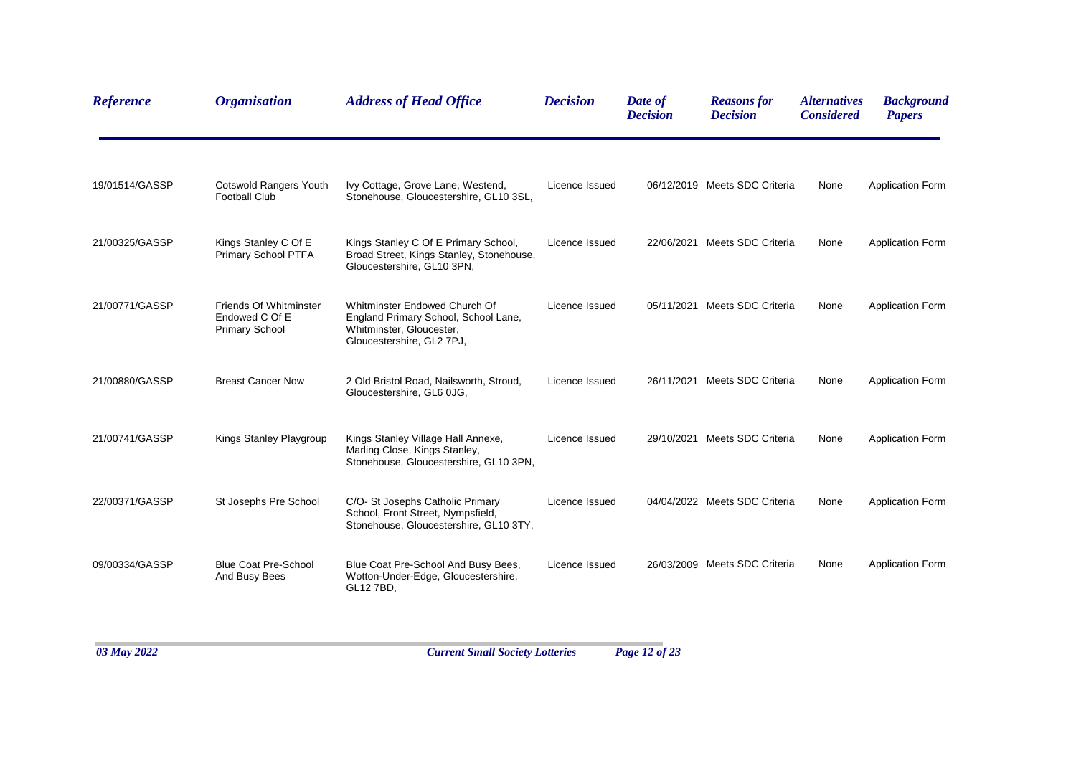| <b>Reference</b> | <b>Organisation</b>                                               | <b>Address of Head Office</b>                                                                                                  | <b>Decision</b> | Date of<br><b>Decision</b> | <b>Reasons for</b><br><b>Decision</b> | <b>Alternatives</b><br><b>Considered</b> | <b>Background</b><br><b>Papers</b> |
|------------------|-------------------------------------------------------------------|--------------------------------------------------------------------------------------------------------------------------------|-----------------|----------------------------|---------------------------------------|------------------------------------------|------------------------------------|
| 19/01514/GASSP   | Cotswold Rangers Youth<br><b>Football Club</b>                    | Ivy Cottage, Grove Lane, Westend,<br>Stonehouse, Gloucestershire, GL10 3SL,                                                    | Licence Issued  |                            | 06/12/2019 Meets SDC Criteria         | None                                     | <b>Application Form</b>            |
| 21/00325/GASSP   | Kings Stanley C Of E<br>Primary School PTFA                       | Kings Stanley C Of E Primary School,<br>Broad Street, Kings Stanley, Stonehouse,<br>Gloucestershire, GL10 3PN,                 | Licence Issued  | 22/06/2021                 | Meets SDC Criteria                    | None                                     | <b>Application Form</b>            |
| 21/00771/GASSP   | Friends Of Whitminster<br>Endowed C Of E<br><b>Primary School</b> | Whitminster Endowed Church Of<br>England Primary School, School Lane,<br>Whitminster, Gloucester,<br>Gloucestershire, GL2 7PJ, | Licence Issued  |                            | 05/11/2021 Meets SDC Criteria         | None                                     | <b>Application Form</b>            |
| 21/00880/GASSP   | <b>Breast Cancer Now</b>                                          | 2 Old Bristol Road, Nailsworth, Stroud,<br>Gloucestershire, GL6 0JG,                                                           | Licence Issued  |                            | 26/11/2021 Meets SDC Criteria         | None                                     | <b>Application Form</b>            |
| 21/00741/GASSP   | Kings Stanley Playgroup                                           | Kings Stanley Village Hall Annexe,<br>Marling Close, Kings Stanley,<br>Stonehouse, Gloucestershire, GL10 3PN,                  | Licence Issued  |                            | 29/10/2021 Meets SDC Criteria         | None                                     | <b>Application Form</b>            |
| 22/00371/GASSP   | St Josephs Pre School                                             | C/O- St Josephs Catholic Primary<br>School, Front Street, Nympsfield,<br>Stonehouse, Gloucestershire, GL10 3TY,                | Licence Issued  |                            | 04/04/2022 Meets SDC Criteria         | None                                     | <b>Application Form</b>            |
| 09/00334/GASSP   | <b>Blue Coat Pre-School</b><br>And Busy Bees                      | Blue Coat Pre-School And Busy Bees,<br>Wotton-Under-Edge, Gloucestershire,<br>GL12 7BD,                                        | Licence Issued  |                            | 26/03/2009 Meets SDC Criteria         | None                                     | <b>Application Form</b>            |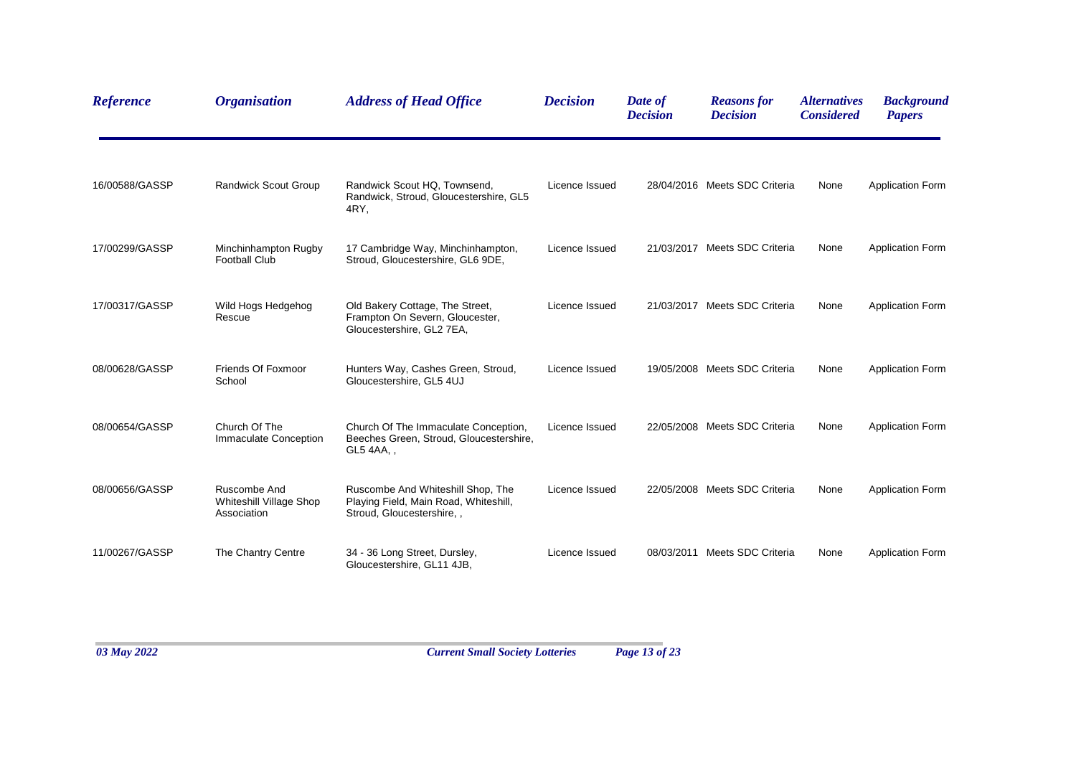| <b>Reference</b> | <b>Organisation</b>                                           | <b>Address of Head Office</b>                                                                            | <b>Decision</b> | Date of<br><b>Decision</b> | <b>Reasons</b> for<br><b>Decision</b> | <i><b>Alternatives</b></i><br><b>Considered</b> | <b>Background</b><br><b>Papers</b> |
|------------------|---------------------------------------------------------------|----------------------------------------------------------------------------------------------------------|-----------------|----------------------------|---------------------------------------|-------------------------------------------------|------------------------------------|
| 16/00588/GASSP   | Randwick Scout Group                                          | Randwick Scout HQ, Townsend,<br>Randwick, Stroud, Gloucestershire, GL5<br>4RY,                           | Licence Issued  |                            | 28/04/2016 Meets SDC Criteria         | None                                            | Application Form                   |
| 17/00299/GASSP   | Minchinhampton Rugby<br><b>Football Club</b>                  | 17 Cambridge Way, Minchinhampton,<br>Stroud, Gloucestershire, GL6 9DE,                                   | Licence Issued  |                            | 21/03/2017 Meets SDC Criteria         | None                                            | <b>Application Form</b>            |
| 17/00317/GASSP   | Wild Hogs Hedgehog<br>Rescue                                  | Old Bakery Cottage, The Street,<br>Frampton On Severn, Gloucester,<br>Gloucestershire, GL2 7EA,          | Licence Issued  |                            | 21/03/2017 Meets SDC Criteria         | None                                            | <b>Application Form</b>            |
| 08/00628/GASSP   | Friends Of Foxmoor<br>School                                  | Hunters Way, Cashes Green, Stroud,<br>Gloucestershire, GL5 4UJ                                           | Licence Issued  |                            | 19/05/2008 Meets SDC Criteria         | None                                            | <b>Application Form</b>            |
| 08/00654/GASSP   | Church Of The<br>Immaculate Conception                        | Church Of The Immaculate Conception,<br>Beeches Green, Stroud, Gloucestershire,<br>GL5 4AA,,             | Licence Issued  |                            | 22/05/2008 Meets SDC Criteria         | None                                            | <b>Application Form</b>            |
| 08/00656/GASSP   | Ruscombe And<br><b>Whiteshill Village Shop</b><br>Association | Ruscombe And Whiteshill Shop, The<br>Playing Field, Main Road, Whiteshill,<br>Stroud, Gloucestershire, , | Licence Issued  |                            | 22/05/2008 Meets SDC Criteria         | None                                            | <b>Application Form</b>            |
| 11/00267/GASSP   | The Chantry Centre                                            | 34 - 36 Long Street, Dursley,<br>Gloucestershire, GL11 4JB,                                              | Licence Issued  |                            | 08/03/2011 Meets SDC Criteria         | None                                            | <b>Application Form</b>            |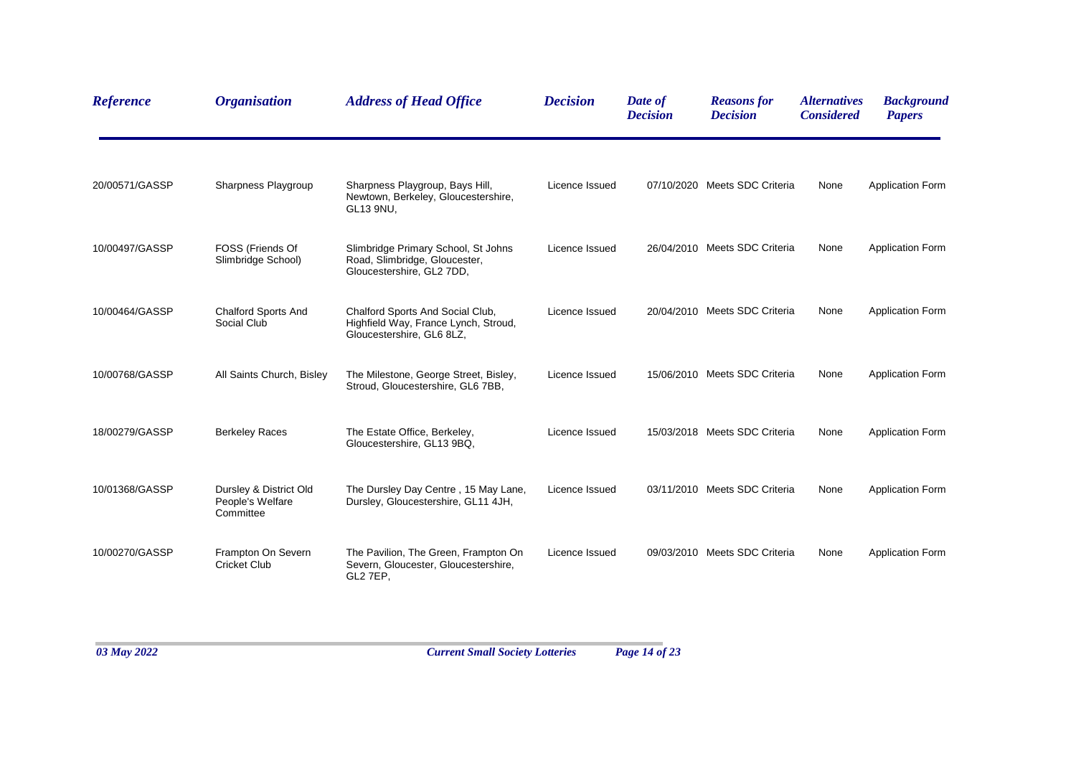| <b>Reference</b> | <b>Organisation</b>                                     | <b>Address of Head Office</b>                                                                         | <b>Decision</b> | Date of<br><b>Decision</b> | <b>Reasons for</b><br><b>Decision</b> | <i><b>Alternatives</b></i><br><b>Considered</b> | <b>Background</b><br><b>Papers</b> |
|------------------|---------------------------------------------------------|-------------------------------------------------------------------------------------------------------|-----------------|----------------------------|---------------------------------------|-------------------------------------------------|------------------------------------|
| 20/00571/GASSP   | Sharpness Playgroup                                     | Sharpness Playgroup, Bays Hill,<br>Newtown, Berkeley, Gloucestershire,<br>GL13 9NU,                   | Licence Issued  |                            | 07/10/2020 Meets SDC Criteria         | None                                            | <b>Application Form</b>            |
| 10/00497/GASSP   | FOSS (Friends Of<br>Slimbridge School)                  | Slimbridge Primary School, St Johns<br>Road, Slimbridge, Gloucester,<br>Gloucestershire, GL2 7DD,     | Licence Issued  |                            | 26/04/2010 Meets SDC Criteria         | None                                            | <b>Application Form</b>            |
| 10/00464/GASSP   | <b>Chalford Sports And</b><br>Social Club               | Chalford Sports And Social Club,<br>Highfield Way, France Lynch, Stroud,<br>Gloucestershire, GL6 8LZ, | Licence Issued  |                            | 20/04/2010 Meets SDC Criteria         | None                                            | <b>Application Form</b>            |
| 10/00768/GASSP   | All Saints Church, Bisley                               | The Milestone, George Street, Bisley,<br>Stroud, Gloucestershire, GL6 7BB,                            | Licence Issued  |                            | 15/06/2010 Meets SDC Criteria         | None                                            | <b>Application Form</b>            |
| 18/00279/GASSP   | <b>Berkeley Races</b>                                   | The Estate Office, Berkeley,<br>Gloucestershire, GL13 9BQ,                                            | Licence Issued  |                            | 15/03/2018 Meets SDC Criteria         | None                                            | <b>Application Form</b>            |
| 10/01368/GASSP   | Dursley & District Old<br>People's Welfare<br>Committee | The Dursley Day Centre, 15 May Lane,<br>Dursley, Gloucestershire, GL11 4JH,                           | Licence Issued  |                            | 03/11/2010 Meets SDC Criteria         | None                                            | <b>Application Form</b>            |
| 10/00270/GASSP   | Frampton On Severn<br><b>Cricket Club</b>               | The Pavilion, The Green, Frampton On<br>Severn, Gloucester, Gloucestershire,<br>GL2 7EP,              | Licence Issued  |                            | 09/03/2010 Meets SDC Criteria         | None                                            | <b>Application Form</b>            |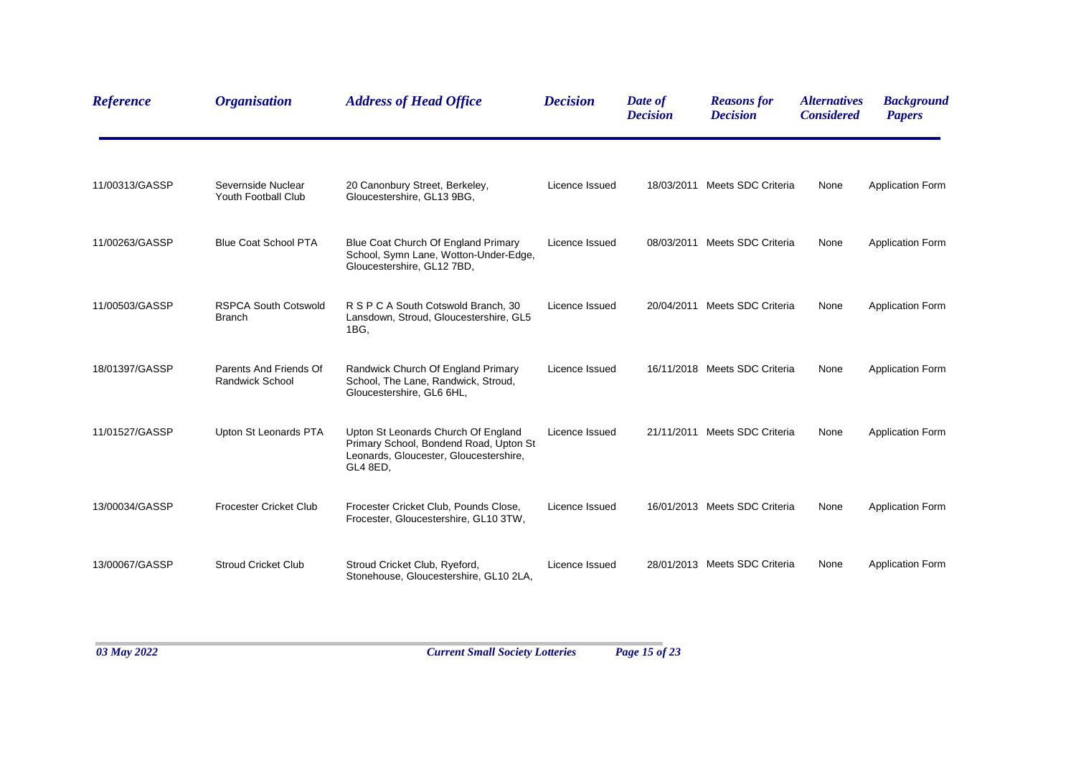| <b>Reference</b> | <b>Organisation</b>                              | <b>Address of Head Office</b>                                                                                                       | <b>Decision</b> | Date of<br><b>Decision</b> | <b>Reasons for</b><br><b>Decision</b> | <i><b>Alternatives</b></i><br><b>Considered</b> | <b>Background</b><br><b>Papers</b> |
|------------------|--------------------------------------------------|-------------------------------------------------------------------------------------------------------------------------------------|-----------------|----------------------------|---------------------------------------|-------------------------------------------------|------------------------------------|
| 11/00313/GASSP   | Severnside Nuclear<br>Youth Football Club        | 20 Canonbury Street, Berkeley,<br>Gloucestershire, GL13 9BG,                                                                        | Licence Issued  |                            | 18/03/2011 Meets SDC Criteria         | None                                            | <b>Application Form</b>            |
| 11/00263/GASSP   | <b>Blue Coat School PTA</b>                      | Blue Coat Church Of England Primary<br>School, Symn Lane, Wotton-Under-Edge,<br>Gloucestershire, GL12 7BD,                          | Licence Issued  |                            | 08/03/2011 Meets SDC Criteria         | None                                            | <b>Application Form</b>            |
| 11/00503/GASSP   | <b>RSPCA South Cotswold</b><br><b>Branch</b>     | R S P C A South Cotswold Branch, 30<br>Lansdown, Stroud, Gloucestershire, GL5<br>1BG,                                               | Licence Issued  |                            | 20/04/2011 Meets SDC Criteria         | None                                            | <b>Application Form</b>            |
| 18/01397/GASSP   | Parents And Friends Of<br><b>Randwick School</b> | Randwick Church Of England Primary<br>School, The Lane, Randwick, Stroud,<br>Gloucestershire, GL6 6HL,                              | Licence Issued  |                            | 16/11/2018 Meets SDC Criteria         | None                                            | <b>Application Form</b>            |
| 11/01527/GASSP   | Upton St Leonards PTA                            | Upton St Leonards Church Of England<br>Primary School, Bondend Road, Upton St<br>Leonards, Gloucester, Gloucestershire,<br>GL4 8ED, | Licence Issued  |                            | 21/11/2011 Meets SDC Criteria         | None                                            | <b>Application Form</b>            |
| 13/00034/GASSP   | <b>Frocester Cricket Club</b>                    | Frocester Cricket Club, Pounds Close,<br>Frocester, Gloucestershire, GL10 3TW,                                                      | Licence Issued  |                            | 16/01/2013 Meets SDC Criteria         | None                                            | <b>Application Form</b>            |
| 13/00067/GASSP   | <b>Stroud Cricket Club</b>                       | Stroud Cricket Club, Ryeford,<br>Stonehouse, Gloucestershire, GL10 2LA,                                                             | Licence Issued  |                            | 28/01/2013 Meets SDC Criteria         | None                                            | <b>Application Form</b>            |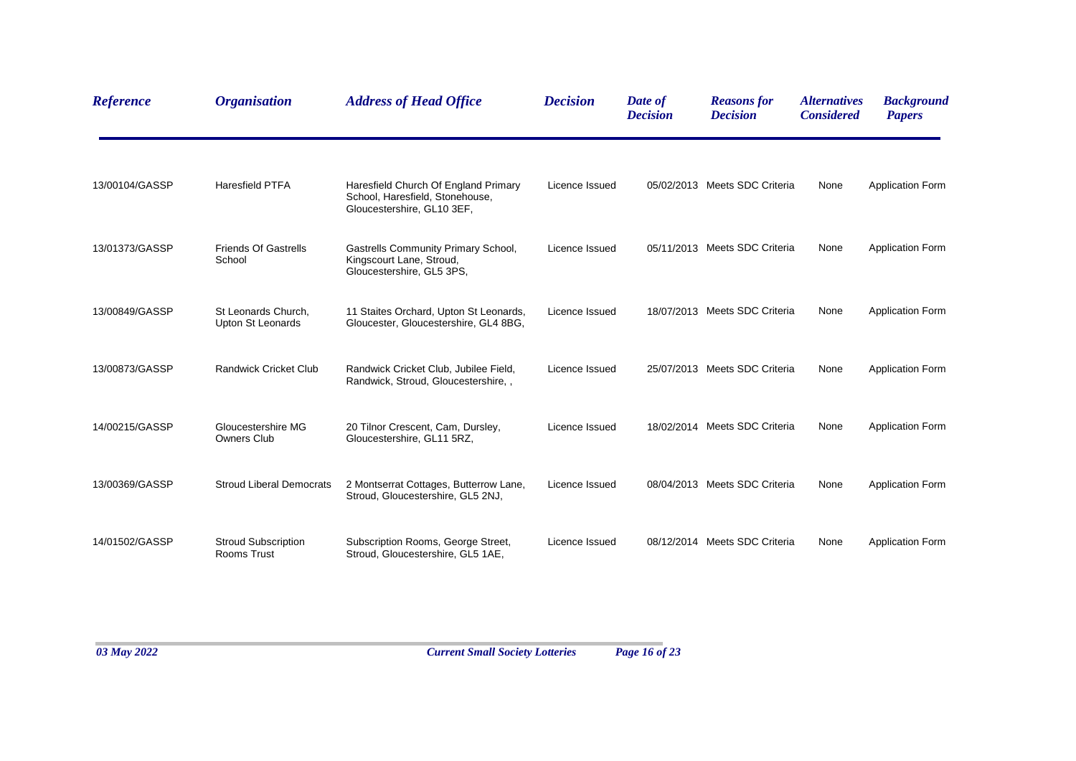| <b>Reference</b> | <b>Organisation</b>                       | <b>Address of Head Office</b>                                                                         | <b>Decision</b> | Date of<br><b>Decision</b> | <b>Reasons for</b><br><b>Decision</b> | <i><b>Alternatives</b></i><br><b>Considered</b> | <b>Background</b><br><b>Papers</b> |
|------------------|-------------------------------------------|-------------------------------------------------------------------------------------------------------|-----------------|----------------------------|---------------------------------------|-------------------------------------------------|------------------------------------|
| 13/00104/GASSP   | <b>Haresfield PTFA</b>                    | Haresfield Church Of England Primary<br>School, Haresfield, Stonehouse,<br>Gloucestershire, GL10 3EF, | Licence Issued  |                            | 05/02/2013 Meets SDC Criteria         | None                                            | <b>Application Form</b>            |
| 13/01373/GASSP   | <b>Friends Of Gastrells</b><br>School     | <b>Gastrells Community Primary School,</b><br>Kingscourt Lane, Stroud,<br>Gloucestershire, GL5 3PS,   | Licence Issued  |                            | 05/11/2013 Meets SDC Criteria         | None                                            | <b>Application Form</b>            |
| 13/00849/GASSP   | St Leonards Church,<br>Upton St Leonards  | 11 Staites Orchard, Upton St Leonards,<br>Gloucester, Gloucestershire, GL4 8BG,                       | Licence Issued  |                            | 18/07/2013 Meets SDC Criteria         | None                                            | <b>Application Form</b>            |
| 13/00873/GASSP   | <b>Randwick Cricket Club</b>              | Randwick Cricket Club, Jubilee Field,<br>Randwick, Stroud, Gloucestershire, ,                         | Licence Issued  |                            | 25/07/2013 Meets SDC Criteria         | None                                            | <b>Application Form</b>            |
| 14/00215/GASSP   | Gloucestershire MG<br><b>Owners Club</b>  | 20 Tilnor Crescent, Cam, Dursley,<br>Gloucestershire, GL11 5RZ,                                       | Licence Issued  |                            | 18/02/2014 Meets SDC Criteria         | None                                            | <b>Application Form</b>            |
| 13/00369/GASSP   | <b>Stroud Liberal Democrats</b>           | 2 Montserrat Cottages, Butterrow Lane,<br>Stroud, Gloucestershire, GL5 2NJ,                           | Licence Issued  |                            | 08/04/2013 Meets SDC Criteria         | None                                            | <b>Application Form</b>            |
| 14/01502/GASSP   | <b>Stroud Subscription</b><br>Rooms Trust | Subscription Rooms, George Street,<br>Stroud, Gloucestershire, GL5 1AE,                               | Licence Issued  |                            | 08/12/2014 Meets SDC Criteria         | None                                            | <b>Application Form</b>            |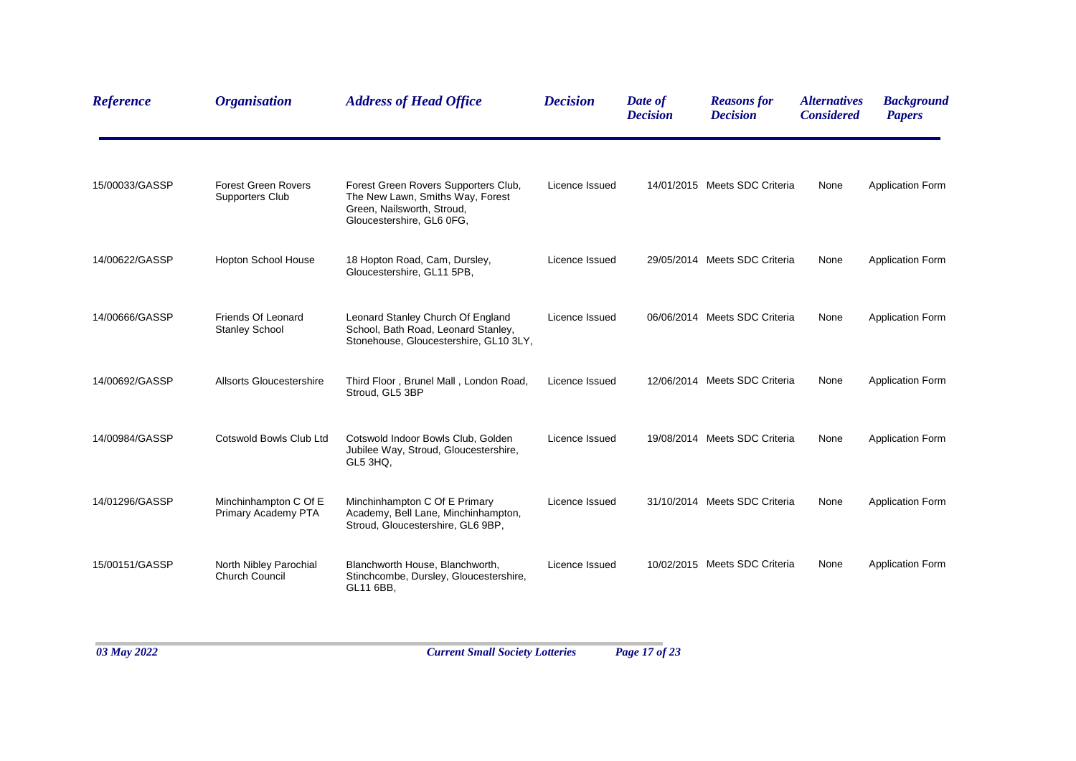| <b>Reference</b> | <b>Organisation</b>                             | <b>Address of Head Office</b>                                                                                                       | <b>Decision</b> | Date of<br><b>Decision</b> | <b>Reasons for</b><br><b>Decision</b> | <i><b>Alternatives</b></i><br><b>Considered</b> | <b>Background</b><br><b>Papers</b> |
|------------------|-------------------------------------------------|-------------------------------------------------------------------------------------------------------------------------------------|-----------------|----------------------------|---------------------------------------|-------------------------------------------------|------------------------------------|
| 15/00033/GASSP   | <b>Forest Green Rovers</b><br>Supporters Club   | Forest Green Rovers Supporters Club,<br>The New Lawn, Smiths Way, Forest<br>Green, Nailsworth, Stroud,<br>Gloucestershire, GL6 0FG, | Licence Issued  |                            | 14/01/2015 Meets SDC Criteria         | None                                            | <b>Application Form</b>            |
| 14/00622/GASSP   | <b>Hopton School House</b>                      | 18 Hopton Road, Cam, Dursley,<br>Gloucestershire, GL11 5PB,                                                                         | Licence Issued  |                            | 29/05/2014 Meets SDC Criteria         | None                                            | <b>Application Form</b>            |
| 14/00666/GASSP   | Friends Of Leonard<br><b>Stanley School</b>     | Leonard Stanley Church Of England<br>School, Bath Road, Leonard Stanley,<br>Stonehouse, Gloucestershire, GL10 3LY,                  | Licence Issued  |                            | 06/06/2014 Meets SDC Criteria         | None                                            | <b>Application Form</b>            |
| 14/00692/GASSP   | Allsorts Gloucestershire                        | Third Floor, Brunel Mall, London Road,<br>Stroud, GL5 3BP                                                                           | Licence Issued  |                            | 12/06/2014 Meets SDC Criteria         | None                                            | <b>Application Form</b>            |
| 14/00984/GASSP   | Cotswold Bowls Club Ltd                         | Cotswold Indoor Bowls Club, Golden<br>Jubilee Way, Stroud, Gloucestershire,<br>GL5 3HQ.                                             | Licence Issued  |                            | 19/08/2014 Meets SDC Criteria         | None                                            | <b>Application Form</b>            |
| 14/01296/GASSP   | Minchinhampton C Of E<br>Primary Academy PTA    | Minchinhampton C Of E Primary<br>Academy, Bell Lane, Minchinhampton,<br>Stroud, Gloucestershire, GL6 9BP,                           | Licence Issued  |                            | 31/10/2014 Meets SDC Criteria         | None                                            | <b>Application Form</b>            |
| 15/00151/GASSP   | North Nibley Parochial<br><b>Church Council</b> | Blanchworth House, Blanchworth,<br>Stinchcombe, Dursley, Gloucestershire,<br>GL11 6BB,                                              | Licence Issued  |                            | 10/02/2015 Meets SDC Criteria         | None                                            | <b>Application Form</b>            |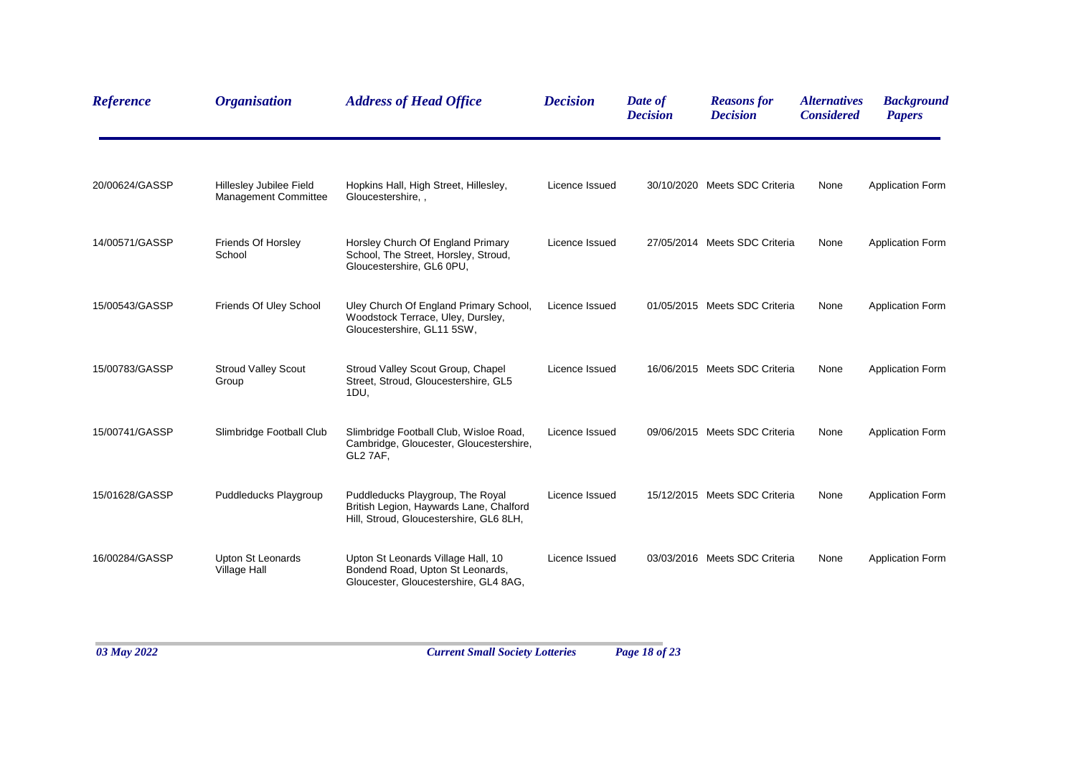| <b>Reference</b> | <b>Organisation</b>                             | <b>Address of Head Office</b>                                                                                          | <b>Decision</b> | Date of<br><b>Decision</b> | <b>Reasons for</b><br><b>Decision</b> | <i><b>Alternatives</b></i><br><b>Considered</b> | <b>Background</b><br><b>Papers</b> |
|------------------|-------------------------------------------------|------------------------------------------------------------------------------------------------------------------------|-----------------|----------------------------|---------------------------------------|-------------------------------------------------|------------------------------------|
| 20/00624/GASSP   | Hillesley Jubilee Field<br>Management Committee | Hopkins Hall, High Street, Hillesley,<br>Gloucestershire, .                                                            | Licence Issued  |                            | 30/10/2020 Meets SDC Criteria         | None                                            | <b>Application Form</b>            |
| 14/00571/GASSP   | Friends Of Horsley<br>School                    | Horsley Church Of England Primary<br>School, The Street, Horsley, Stroud,<br>Gloucestershire, GL6 0PU,                 | Licence Issued  |                            | 27/05/2014 Meets SDC Criteria         | None                                            | Application Form                   |
| 15/00543/GASSP   | Friends Of Uley School                          | Uley Church Of England Primary School,<br>Woodstock Terrace, Uley, Dursley,<br>Gloucestershire, GL11 5SW,              | Licence Issued  |                            | 01/05/2015 Meets SDC Criteria         | None                                            | <b>Application Form</b>            |
| 15/00783/GASSP   | <b>Stroud Valley Scout</b><br>Group             | Stroud Valley Scout Group, Chapel<br>Street, Stroud, Gloucestershire, GL5<br>1DU,                                      | Licence Issued  |                            | 16/06/2015 Meets SDC Criteria         | None                                            | <b>Application Form</b>            |
| 15/00741/GASSP   | Slimbridge Football Club                        | Slimbridge Football Club, Wisloe Road,<br>Cambridge, Gloucester, Gloucestershire,<br>GL2 7AF,                          | Licence Issued  |                            | 09/06/2015 Meets SDC Criteria         | None                                            | <b>Application Form</b>            |
| 15/01628/GASSP   | Puddleducks Playgroup                           | Puddleducks Playgroup, The Royal<br>British Legion, Haywards Lane, Chalford<br>Hill, Stroud, Gloucestershire, GL6 8LH, | Licence Issued  |                            | 15/12/2015 Meets SDC Criteria         | None                                            | <b>Application Form</b>            |
| 16/00284/GASSP   | Upton St Leonards<br>Village Hall               | Upton St Leonards Village Hall, 10<br>Bondend Road, Upton St Leonards,<br>Gloucester, Gloucestershire, GL4 8AG,        | Licence Issued  |                            | 03/03/2016 Meets SDC Criteria         | None                                            | <b>Application Form</b>            |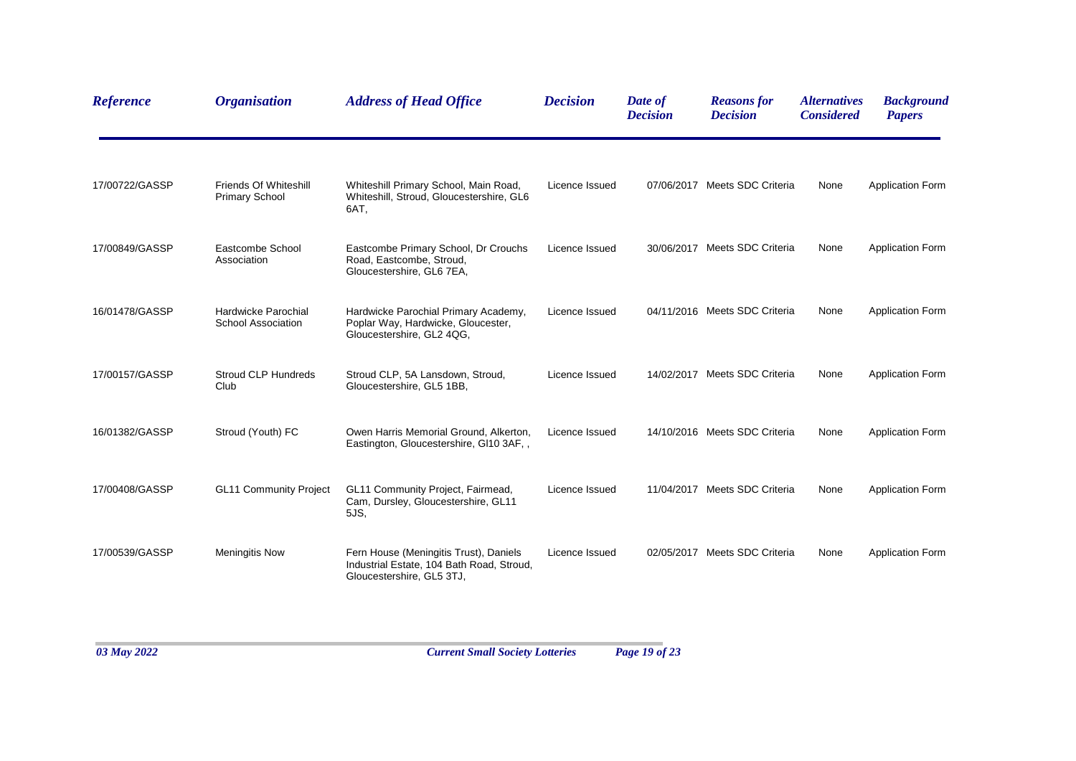| <b>Reference</b> | <b>Organisation</b>                            | <b>Address of Head Office</b>                                                                                    | <b>Decision</b> | Date of<br><b>Decision</b> | <b>Reasons for</b><br><b>Decision</b> | <i><b>Alternatives</b></i><br><b>Considered</b> | <b>Background</b><br><b>Papers</b> |
|------------------|------------------------------------------------|------------------------------------------------------------------------------------------------------------------|-----------------|----------------------------|---------------------------------------|-------------------------------------------------|------------------------------------|
| 17/00722/GASSP   | Friends Of Whiteshill<br><b>Primary School</b> | Whiteshill Primary School, Main Road,<br>Whiteshill, Stroud, Gloucestershire, GL6<br>6AT.                        | Licence Issued  |                            | 07/06/2017 Meets SDC Criteria         | None                                            | <b>Application Form</b>            |
| 17/00849/GASSP   | Eastcombe School<br>Association                | Eastcombe Primary School, Dr Crouchs<br>Road, Eastcombe, Stroud,<br>Gloucestershire, GL6 7EA,                    | Licence Issued  |                            | 30/06/2017 Meets SDC Criteria         | None                                            | <b>Application Form</b>            |
| 16/01478/GASSP   | Hardwicke Parochial<br>School Association      | Hardwicke Parochial Primary Academy,<br>Poplar Way, Hardwicke, Gloucester,<br>Gloucestershire, GL2 4QG,          | Licence Issued  |                            | 04/11/2016 Meets SDC Criteria         | None                                            | <b>Application Form</b>            |
| 17/00157/GASSP   | Stroud CLP Hundreds<br>Club                    | Stroud CLP, 5A Lansdown, Stroud,<br>Gloucestershire, GL5 1BB,                                                    | Licence Issued  |                            | 14/02/2017 Meets SDC Criteria         | None                                            | <b>Application Form</b>            |
| 16/01382/GASSP   | Stroud (Youth) FC                              | Owen Harris Memorial Ground, Alkerton,<br>Eastington, Gloucestershire, GI10 3AF, ,                               | Licence Issued  |                            | 14/10/2016 Meets SDC Criteria         | None                                            | <b>Application Form</b>            |
| 17/00408/GASSP   | <b>GL11 Community Project</b>                  | GL11 Community Project, Fairmead,<br>Cam, Dursley, Gloucestershire, GL11<br>5JS,                                 | Licence Issued  |                            | 11/04/2017 Meets SDC Criteria         | None                                            | <b>Application Form</b>            |
| 17/00539/GASSP   | <b>Meningitis Now</b>                          | Fern House (Meningitis Trust), Daniels<br>Industrial Estate, 104 Bath Road, Stroud,<br>Gloucestershire, GL5 3TJ, | Licence Issued  |                            | 02/05/2017 Meets SDC Criteria         | None                                            | <b>Application Form</b>            |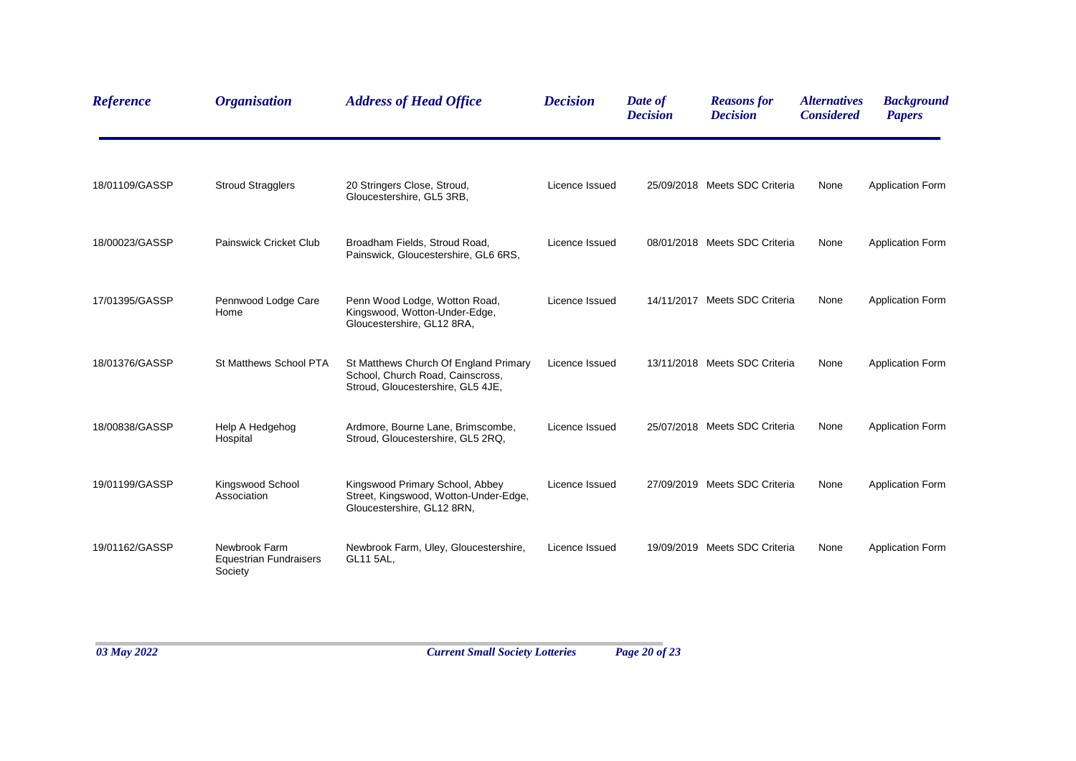| <b>Reference</b> | <b>Organisation</b>                                       | <b>Address of Head Office</b>                                                                                  | <b>Decision</b> | Date of<br><b>Decision</b> | <b>Reasons for</b><br><b>Decision</b> | <i><b>Alternatives</b></i><br><b>Considered</b> | <b>Background</b><br><b>Papers</b> |
|------------------|-----------------------------------------------------------|----------------------------------------------------------------------------------------------------------------|-----------------|----------------------------|---------------------------------------|-------------------------------------------------|------------------------------------|
| 18/01109/GASSP   | <b>Stroud Stragglers</b>                                  | 20 Stringers Close, Stroud,<br>Gloucestershire, GL5 3RB,                                                       | Licence Issued  |                            | 25/09/2018 Meets SDC Criteria         | None                                            | <b>Application Form</b>            |
| 18/00023/GASSP   | Painswick Cricket Club                                    | Broadham Fields, Stroud Road,<br>Painswick, Gloucestershire, GL6 6RS,                                          | Licence Issued  |                            | 08/01/2018 Meets SDC Criteria         | None                                            | <b>Application Form</b>            |
| 17/01395/GASSP   | Pennwood Lodge Care<br>Home                               | Penn Wood Lodge, Wotton Road,<br>Kingswood, Wotton-Under-Edge,<br>Gloucestershire, GL12 8RA,                   | Licence Issued  |                            | 14/11/2017 Meets SDC Criteria         | None                                            | <b>Application Form</b>            |
| 18/01376/GASSP   | St Matthews School PTA                                    | St Matthews Church Of England Primary<br>School, Church Road, Cainscross,<br>Stroud, Gloucestershire, GL5 4JE, | Licence Issued  |                            | 13/11/2018 Meets SDC Criteria         | None                                            | <b>Application Form</b>            |
| 18/00838/GASSP   | Help A Hedgehog<br>Hospital                               | Ardmore, Bourne Lane, Brimscombe,<br>Stroud, Gloucestershire, GL5 2RQ,                                         | Licence Issued  |                            | 25/07/2018 Meets SDC Criteria         | None                                            | <b>Application Form</b>            |
| 19/01199/GASSP   | Kingswood School<br>Association                           | Kingswood Primary School, Abbey<br>Street, Kingswood, Wotton-Under-Edge,<br>Gloucestershire, GL12 8RN,         | Licence Issued  |                            | 27/09/2019 Meets SDC Criteria         | None                                            | <b>Application Form</b>            |
| 19/01162/GASSP   | Newbrook Farm<br><b>Equestrian Fundraisers</b><br>Society | Newbrook Farm, Uley, Gloucestershire,<br>GL11 5AL,                                                             | Licence Issued  |                            | 19/09/2019 Meets SDC Criteria         | None                                            | <b>Application Form</b>            |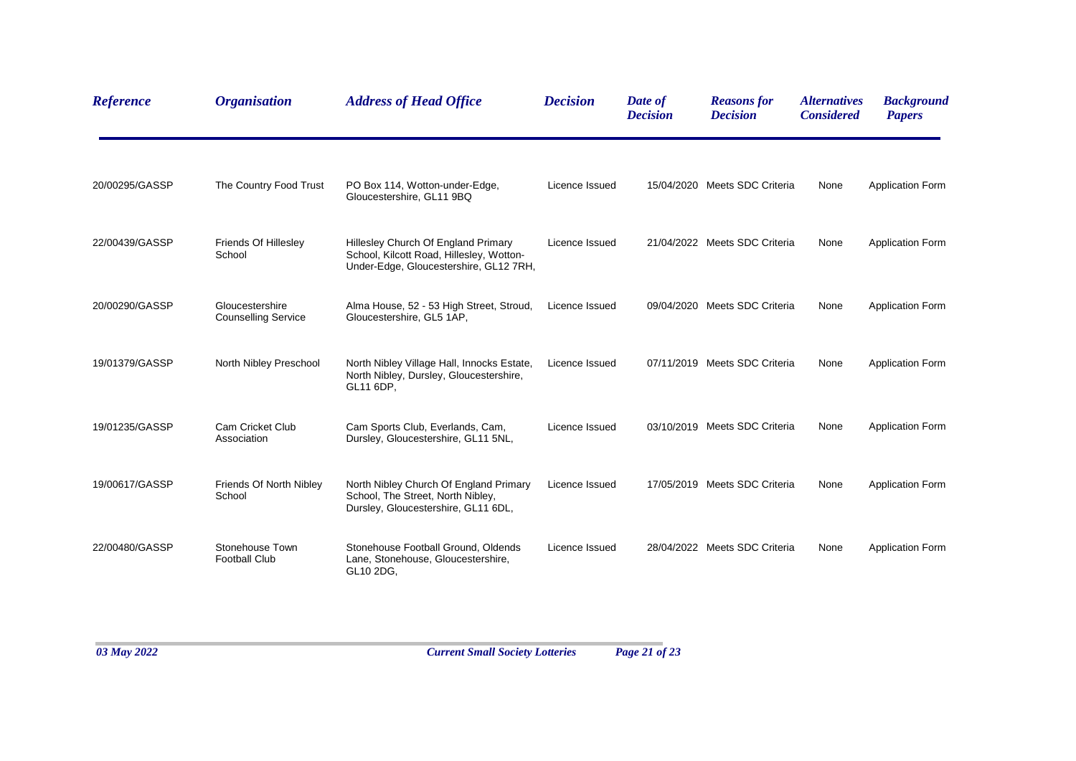| <b>Reference</b> | <b>Organisation</b>                           | <b>Address of Head Office</b>                                                                                             | <b>Decision</b> | Date of<br><b>Decision</b> | <b>Reasons for</b><br><b>Decision</b> | <i><b>Alternatives</b></i><br><b>Considered</b> | <b>Background</b><br><b>Papers</b> |
|------------------|-----------------------------------------------|---------------------------------------------------------------------------------------------------------------------------|-----------------|----------------------------|---------------------------------------|-------------------------------------------------|------------------------------------|
| 20/00295/GASSP   | The Country Food Trust                        | PO Box 114, Wotton-under-Edge,<br>Gloucestershire, GL11 9BQ                                                               | Licence Issued  |                            | 15/04/2020 Meets SDC Criteria         | None                                            | <b>Application Form</b>            |
| 22/00439/GASSP   | Friends Of Hillesley<br>School                | Hillesley Church Of England Primary<br>School, Kilcott Road, Hillesley, Wotton-<br>Under-Edge, Gloucestershire, GL12 7RH, | Licence Issued  |                            | 21/04/2022 Meets SDC Criteria         | None                                            | <b>Application Form</b>            |
| 20/00290/GASSP   | Gloucestershire<br><b>Counselling Service</b> | Alma House, 52 - 53 High Street, Stroud,<br>Gloucestershire, GL5 1AP,                                                     | Licence Issued  |                            | 09/04/2020 Meets SDC Criteria         | None                                            | <b>Application Form</b>            |
| 19/01379/GASSP   | North Nibley Preschool                        | North Nibley Village Hall, Innocks Estate,<br>North Nibley, Dursley, Gloucestershire,<br>GL11 6DP,                        | Licence Issued  |                            | 07/11/2019 Meets SDC Criteria         | None                                            | <b>Application Form</b>            |
| 19/01235/GASSP   | Cam Cricket Club<br>Association               | Cam Sports Club, Everlands, Cam,<br>Dursley, Gloucestershire, GL11 5NL,                                                   | Licence Issued  |                            | 03/10/2019 Meets SDC Criteria         | None                                            | <b>Application Form</b>            |
| 19/00617/GASSP   | Friends Of North Nibley<br>School             | North Nibley Church Of England Primary<br>School, The Street, North Nibley,<br>Dursley, Gloucestershire, GL11 6DL,        | Licence Issued  |                            | 17/05/2019 Meets SDC Criteria         | None                                            | <b>Application Form</b>            |
| 22/00480/GASSP   | Stonehouse Town<br><b>Football Club</b>       | Stonehouse Football Ground, Oldends<br>Lane, Stonehouse, Gloucestershire,<br>GL10 2DG,                                    | Licence Issued  |                            | 28/04/2022 Meets SDC Criteria         | None                                            | <b>Application Form</b>            |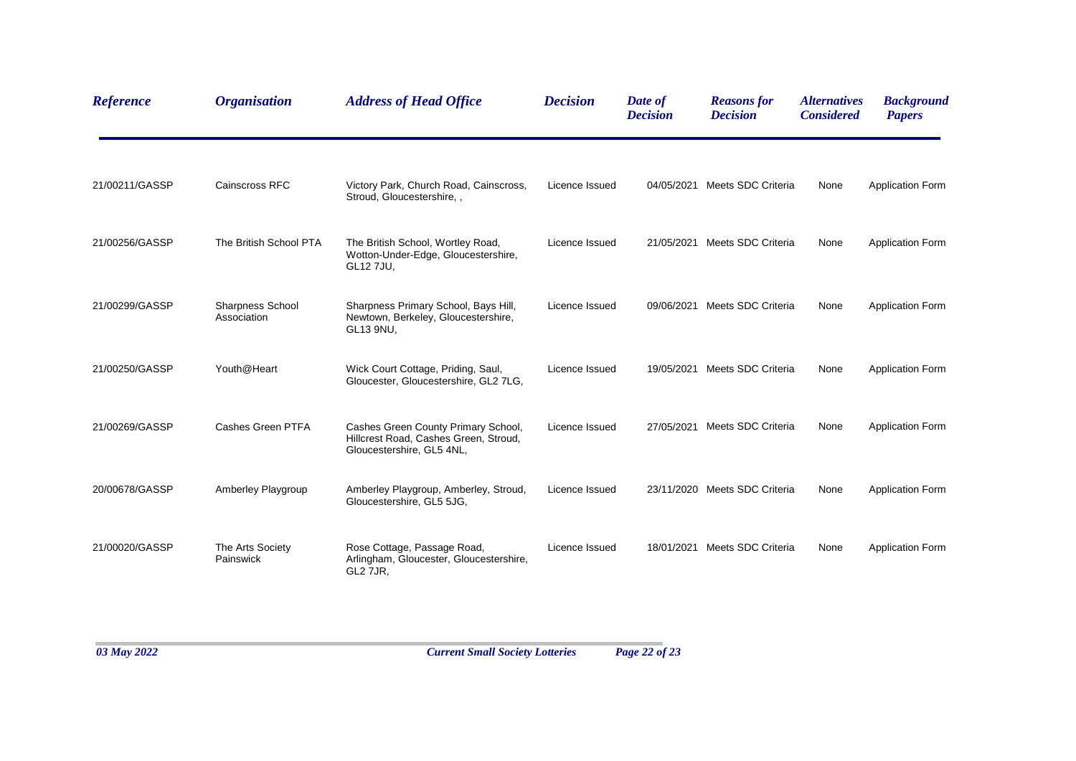| <b>Reference</b> | <b>Organisation</b>                    | <b>Address of Head Office</b>                                                                             | <b>Decision</b> | Date of<br><b>Decision</b> | <b>Reasons for</b><br><b>Decision</b> | <i><b>Alternatives</b></i><br><b>Considered</b> | <b>Background</b><br><b>Papers</b> |
|------------------|----------------------------------------|-----------------------------------------------------------------------------------------------------------|-----------------|----------------------------|---------------------------------------|-------------------------------------------------|------------------------------------|
| 21/00211/GASSP   | Cainscross RFC                         | Victory Park, Church Road, Cainscross,<br>Stroud, Gloucestershire, ,                                      | Licence Issued  |                            | 04/05/2021 Meets SDC Criteria         | None                                            | <b>Application Form</b>            |
| 21/00256/GASSP   | The British School PTA                 | The British School, Wortley Road,<br>Wotton-Under-Edge, Gloucestershire,<br>GL12 7JU,                     | Licence Issued  |                            | 21/05/2021 Meets SDC Criteria         | None                                            | <b>Application Form</b>            |
| 21/00299/GASSP   | <b>Sharpness School</b><br>Association | Sharpness Primary School, Bays Hill,<br>Newtown, Berkeley, Gloucestershire,<br>GL13 9NU,                  | Licence Issued  |                            | 09/06/2021 Meets SDC Criteria         | None                                            | <b>Application Form</b>            |
| 21/00250/GASSP   | Youth@Heart                            | Wick Court Cottage, Priding, Saul,<br>Gloucester, Gloucestershire, GL2 7LG,                               | Licence Issued  |                            | 19/05/2021 Meets SDC Criteria         | None                                            | <b>Application Form</b>            |
| 21/00269/GASSP   | Cashes Green PTFA                      | Cashes Green County Primary School,<br>Hillcrest Road, Cashes Green, Stroud,<br>Gloucestershire, GL5 4NL, | Licence Issued  |                            | 27/05/2021 Meets SDC Criteria         | None                                            | <b>Application Form</b>            |
| 20/00678/GASSP   | Amberley Playgroup                     | Amberley Playgroup, Amberley, Stroud,<br>Gloucestershire, GL5 5JG,                                        | Licence Issued  |                            | 23/11/2020 Meets SDC Criteria         | None                                            | <b>Application Form</b>            |
| 21/00020/GASSP   | The Arts Society<br>Painswick          | Rose Cottage, Passage Road,<br>Arlingham, Gloucester, Gloucestershire,<br>GL2 7JR,                        | Licence Issued  |                            | 18/01/2021 Meets SDC Criteria         | None                                            | <b>Application Form</b>            |